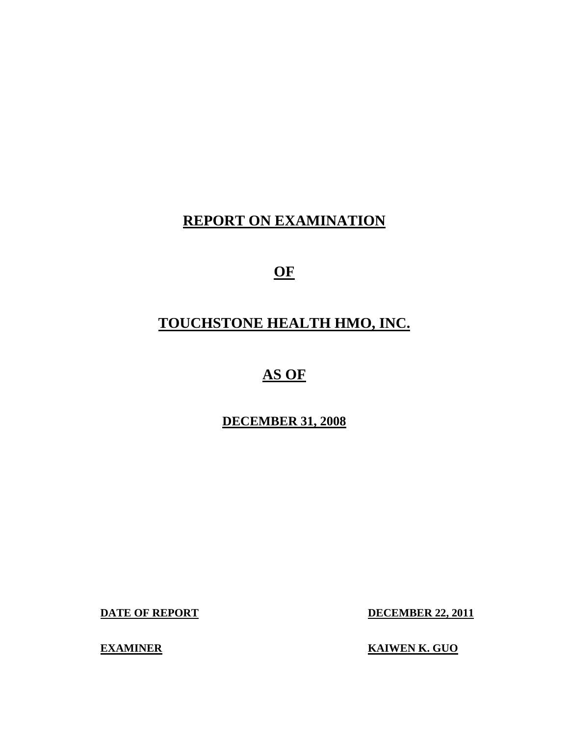# **REPORT ON EXAMINATION**

**OF** 

# **TOUCHSTONE HEALTH HMO, INC.**

# **AS OF**

# **DECEMBER 31, 2008**

**DATE OF REPORT DECEMBER 22, 2011** 

**EXAMINER EXAMINER EXAMINER**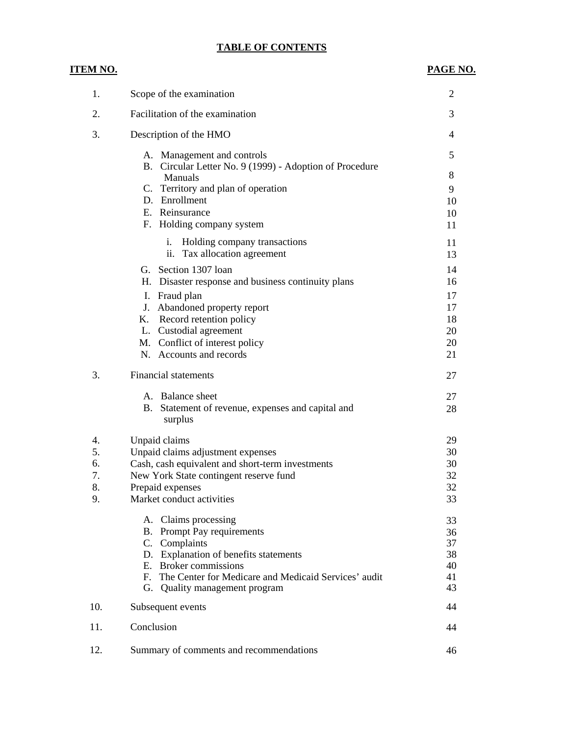## **TABLE OF CONTENTS**

**ITEM NO.** 

### **PAGE NO.**

| 1.  | Scope of the examination                                                              | $\overline{2}$ |
|-----|---------------------------------------------------------------------------------------|----------------|
| 2.  | Facilitation of the examination                                                       | 3              |
| 3.  | Description of the HMO                                                                | $\overline{4}$ |
|     | A. Management and controls<br>B. Circular Letter No. 9 (1999) - Adoption of Procedure | 5              |
|     | Manuals                                                                               | 8              |
|     | C. Territory and plan of operation                                                    | 9              |
|     | D. Enrollment<br>E. Reinsurance                                                       | 10             |
|     | F. Holding company system                                                             | 10<br>11       |
|     |                                                                                       |                |
|     | i.<br>Holding company transactions<br>ii. Tax allocation agreement                    | 11<br>13       |
|     | G. Section 1307 loan                                                                  | 14             |
|     | H. Disaster response and business continuity plans                                    | 16             |
|     | I. Fraud plan                                                                         | 17             |
|     | J. Abandoned property report                                                          | 17             |
|     | Record retention policy<br>Κ.                                                         | 18             |
|     | L. Custodial agreement                                                                | 20             |
|     | M. Conflict of interest policy                                                        | 20             |
|     | N. Accounts and records                                                               | 21             |
| 3.  | <b>Financial statements</b>                                                           | 27             |
|     | A. Balance sheet                                                                      | 27             |
|     | Statement of revenue, expenses and capital and<br>В.<br>surplus                       | 28             |
| 4.  | Unpaid claims                                                                         | 29             |
| 5.  | Unpaid claims adjustment expenses                                                     | 30             |
| 6.  | Cash, cash equivalent and short-term investments                                      | 30             |
| 7.  | New York State contingent reserve fund                                                | 32             |
| 8.  | Prepaid expenses                                                                      | 32             |
| 9   | Market conduct activities                                                             | 33             |
|     | A. Claims processing                                                                  | 33             |
|     | B. Prompt Pay requirements                                                            | 36             |
|     | C. Complaints                                                                         | 37             |
|     | D. Explanation of benefits statements                                                 | 38             |
|     | E. Broker commissions<br>F. The Center for Medicare and Medicaid Services' audit      | 40<br>41       |
|     | G. Quality management program                                                         | 43             |
| 10. | Subsequent events                                                                     | 44             |
| 11. | Conclusion                                                                            | 44             |
| 12. | Summary of comments and recommendations                                               | 46             |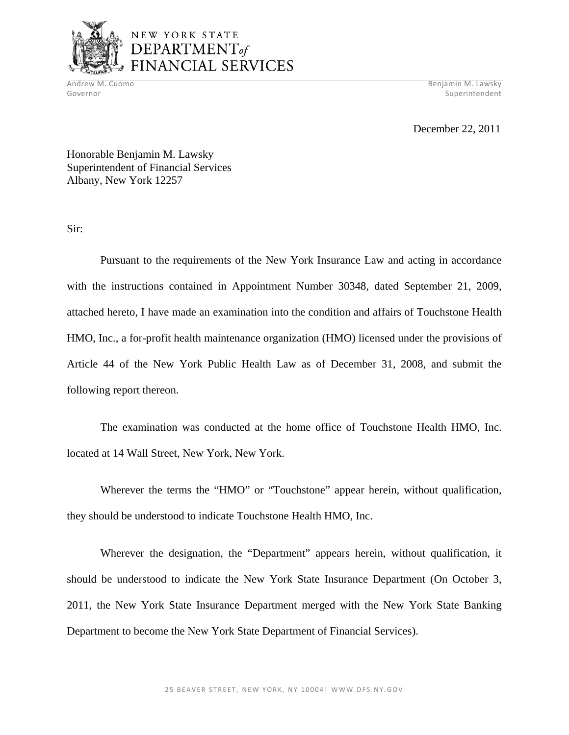

# NEW YORK STATE DEPARTMENT<sub>of</sub> FINANCIAL SERVICES

Andrew M. Cuomo Benjamin M. Lawsky Governor Superintendent Superintendent Superintendent Superintendent Superintendent Superintendent Superintendent

December 22, 2011

Honorable Benjamin M. Lawsky Superintendent of Financial Services Albany, New York 12257

Sir:

Pursuant to the requirements of the New York Insurance Law and acting in accordance with the instructions contained in Appointment Number 30348, dated September 21, 2009, attached hereto, I have made an examination into the condition and affairs of Touchstone Health HMO, Inc., a for-profit health maintenance organization (HMO) licensed under the provisions of Article 44 of the New York Public Health Law as of December 31, 2008, and submit the following report thereon.

The examination was conducted at the home office of Touchstone Health HMO, Inc. located at 14 Wall Street, New York, New York.

Wherever the terms the "HMO" or "Touchstone" appear herein, without qualification, they should be understood to indicate Touchstone Health HMO, Inc.

Wherever the designation, the "Department" appears herein, without qualification, it should be understood to indicate the New York State Insurance Department (On October 3, 2011, the New York State Insurance Department merged with the New York State Banking Department to become the New York State Department of Financial Services).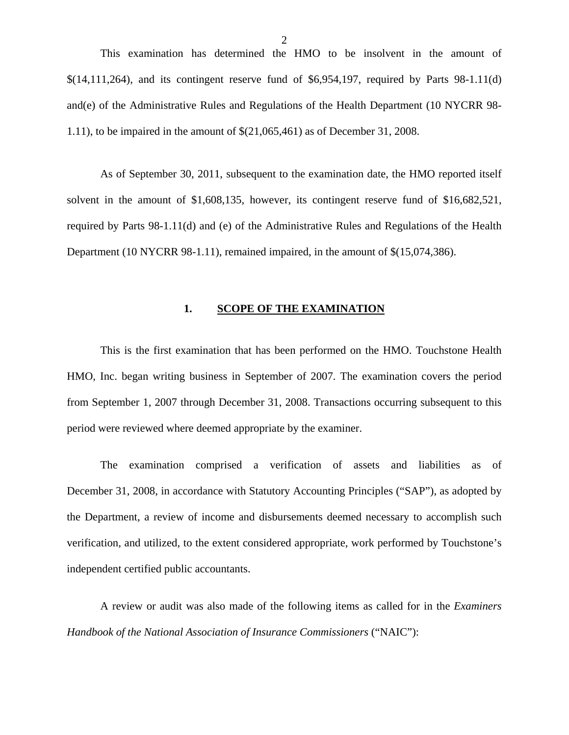<span id="page-3-0"></span>This examination has determined the HMO to be insolvent in the amount of  $\{(14,111,264)$ , and its contingent reserve fund of \$6,954,197, required by Parts 98-1.11(d) and(e) of the Administrative Rules and Regulations of the Health Department (10 NYCRR 98- 1.11), to be impaired in the amount of \$(21,065,461) as of December 31, 2008.

As of September 30, 2011, subsequent to the examination date, the HMO reported itself solvent in the amount of \$1,608,135, however, its contingent reserve fund of \$16,682,521, required by Parts 98-1.11(d) and (e) of the Administrative Rules and Regulations of the Health Department (10 NYCRR 98-1.11), remained impaired, in the amount of  $\frac{\mathcal{S}}{15,074,386}$ .

#### 1. SCOPE OF THE EXAMINATION

This is the first examination that has been performed on the HMO. Touchstone Health HMO, Inc. began writing business in September of 2007. The examination covers the period from September 1, 2007 through December 31, 2008. Transactions occurring subsequent to this period were reviewed where deemed appropriate by the examiner.

The examination comprised a verification of assets and liabilities as of December 31, 2008, in accordance with Statutory Accounting Principles ("SAP"), as adopted by the Department, a review of income and disbursements deemed necessary to accomplish such verification, and utilized, to the extent considered appropriate, work performed by Touchstone's independent certified public accountants.

A review or audit was also made of the following items as called for in the *Examiners Handbook of the National Association of Insurance Commissioners* ("NAIC"):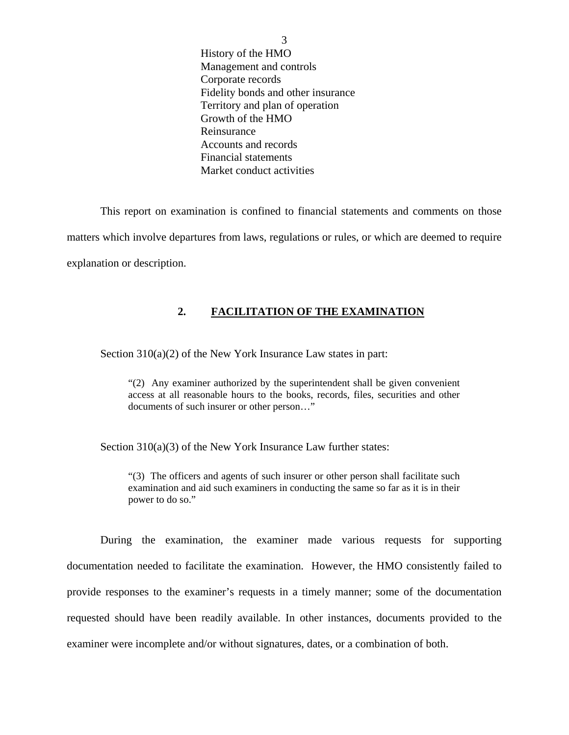<span id="page-4-0"></span>History of the HMO Management and controls Corporate records Fidelity bonds and other insurance Territory and plan of operation Growth of the HMO Reinsurance Accounts and records Financial statements Market conduct activities

This report on examination is confined to financial statements and comments on those matters which involve departures from laws, regulations or rules, or which are deemed to require explanation or description.

### **2. FACILITATION OF THE EXAMINATION**

Section 310(a)(2) of the New York Insurance Law states in part:

"(2) Any examiner authorized by the superintendent shall be given convenient access at all reasonable hours to the books, records, files, securities and other documents of such insurer or other person…"

Section 310(a)(3) of the New York Insurance Law further states:

"(3) The officers and agents of such insurer or other person shall facilitate such examination and aid such examiners in conducting the same so far as it is in their power to do so."

During the examination, the examiner made various requests for supporting documentation needed to facilitate the examination. However, the HMO consistently failed to provide responses to the examiner's requests in a timely manner; some of the documentation requested should have been readily available. In other instances, documents provided to the examiner were incomplete and/or without signatures, dates, or a combination of both.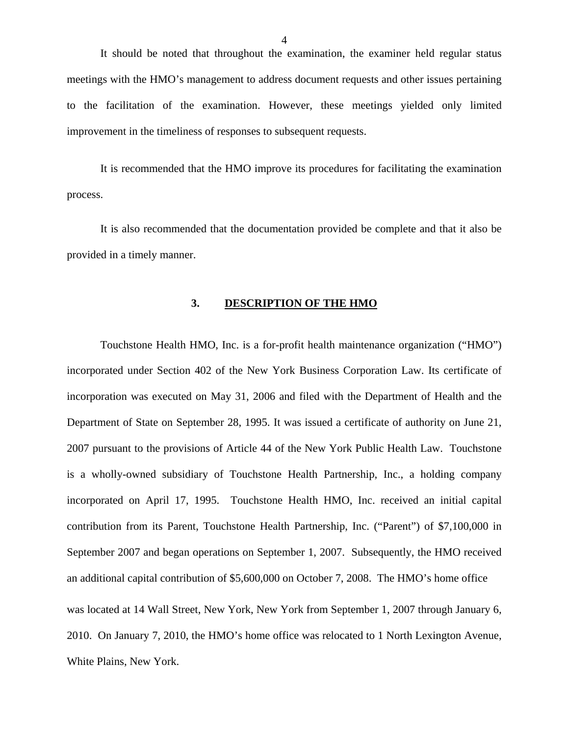<span id="page-5-0"></span>It should be noted that throughout the examination, the examiner held regular status meetings with the HMO's management to address document requests and other issues pertaining to the facilitation of the examination. However, these meetings yielded only limited improvement in the timeliness of responses to subsequent requests.

It is recommended that the HMO improve its procedures for facilitating the examination process.

It is also recommended that the documentation provided be complete and that it also be provided in a timely manner.

#### **3. DESCRIPTION OF THE HMO**

Touchstone Health HMO, Inc. is a for-profit health maintenance organization ("HMO") incorporated under Section 402 of the New York Business Corporation Law. Its certificate of incorporation was executed on May 31, 2006 and filed with the Department of Health and the Department of State on September 28, 1995. It was issued a certificate of authority on June 21, 2007 pursuant to the provisions of Article 44 of the New York Public Health Law. Touchstone is a wholly-owned subsidiary of Touchstone Health Partnership, Inc., a holding company incorporated on April 17, 1995. Touchstone Health HMO, Inc. received an initial capital contribution from its Parent, Touchstone Health Partnership, Inc. ("Parent") of \$7,100,000 in September 2007 and began operations on September 1, 2007. Subsequently, the HMO received an additional capital contribution of \$5,600,000 on October 7, 2008. The HMO's home office was located at 14 Wall Street, New York, New York from September 1, 2007 through January 6, 2010. On January 7, 2010, the HMO's home office was relocated to 1 North Lexington Avenue, White Plains, New York.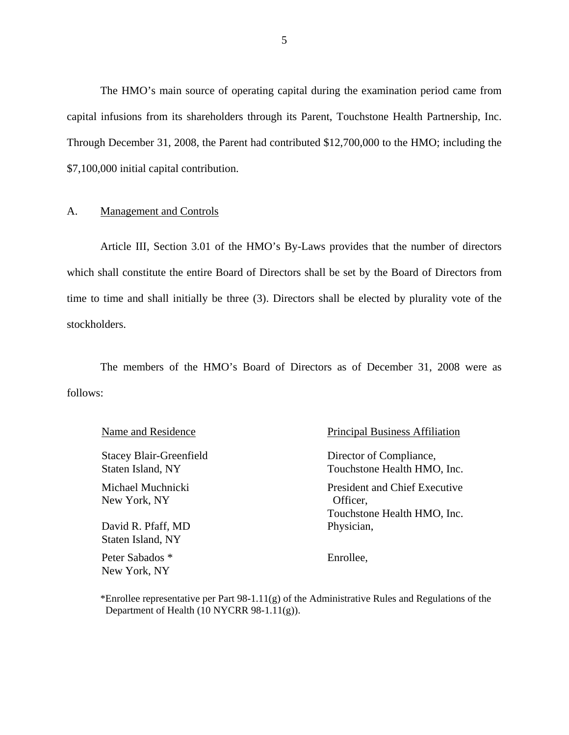<span id="page-6-0"></span>The HMO's main source of operating capital during the examination period came from capital infusions from its shareholders through its Parent, Touchstone Health Partnership, Inc. Through December 31, 2008, the Parent had contributed \$12,700,000 to the HMO; including the \$7,100,000 initial capital contribution.

#### A. Management and Controls

Article III, Section 3.01 of the HMO's By-Laws provides that the number of directors which shall constitute the entire Board of Directors shall be set by the Board of Directors from time to time and shall initially be three (3). Directors shall be elected by plurality vote of the stockholders.

The members of the HMO's Board of Directors as of December 31, 2008 were as follows:

David R. Pfaff, MD Physician, Staten Island, NY

Peter Sabados \* Enrollee, New York, NY

#### Name and Residence Principal Business Affiliation

Stacey Blair-Greenfield Director of Compliance, Staten Island, NY Touchstone Health HMO, Inc. Michael Muchnicki President and Chief Executive New York, NY Officer, Touchstone Health HMO, Inc.

\*Enrollee representative per Part 98-1.11(g) of the Administrative Rules and Regulations of the Department of Health (10 NYCRR 98-1.11(g)).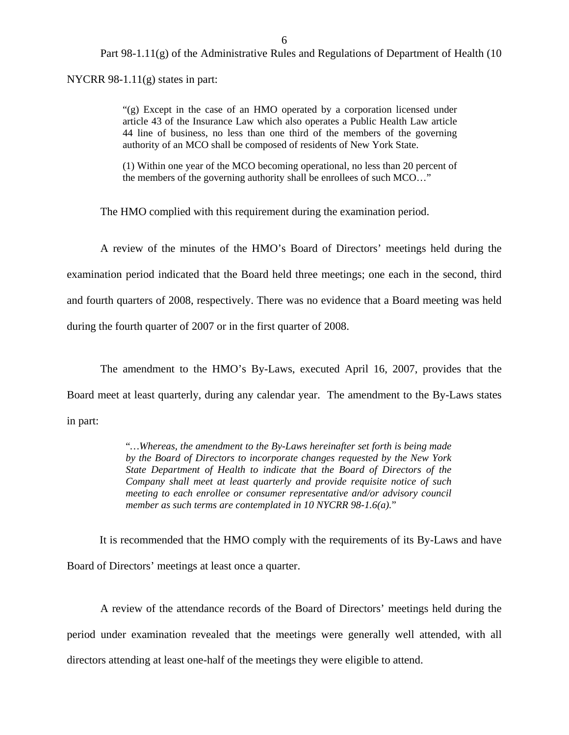6

Part 98-1.11(g) of the Administrative Rules and Regulations of Department of Health (10

NYCRR 98-1.11(g) states in part:

"(g) Except in the case of an HMO operated by a corporation licensed under article 43 of the Insurance Law which also operates a Public Health Law article 44 line of business, no less than one third of the members of the governing authority of an MCO shall be composed of residents of New York State.

(1) Within one year of the MCO becoming operational, no less than 20 percent of the members of the governing authority shall be enrollees of such MCO…"

The HMO complied with this requirement during the examination period.

A review of the minutes of the HMO's Board of Directors' meetings held during the examination period indicated that the Board held three meetings; one each in the second, third and fourth quarters of 2008, respectively. There was no evidence that a Board meeting was held during the fourth quarter of 2007 or in the first quarter of 2008.

The amendment to the HMO's By-Laws, executed April 16, 2007, provides that the Board meet at least quarterly, during any calendar year. The amendment to the By-Laws states in part:

> "*…Whereas, the amendment to the By-Laws hereinafter set forth is being made by the Board of Directors to incorporate changes requested by the New York State Department of Health to indicate that the Board of Directors of the Company shall meet at least quarterly and provide requisite notice of such meeting to each enrollee or consumer representative and/or advisory council member as such terms are contemplated in 10 NYCRR 98-1.6(a).*"

It is recommended that the HMO comply with the requirements of its By-Laws and have Board of Directors' meetings at least once a quarter.

A review of the attendance records of the Board of Directors' meetings held during the period under examination revealed that the meetings were generally well attended, with all directors attending at least one-half of the meetings they were eligible to attend.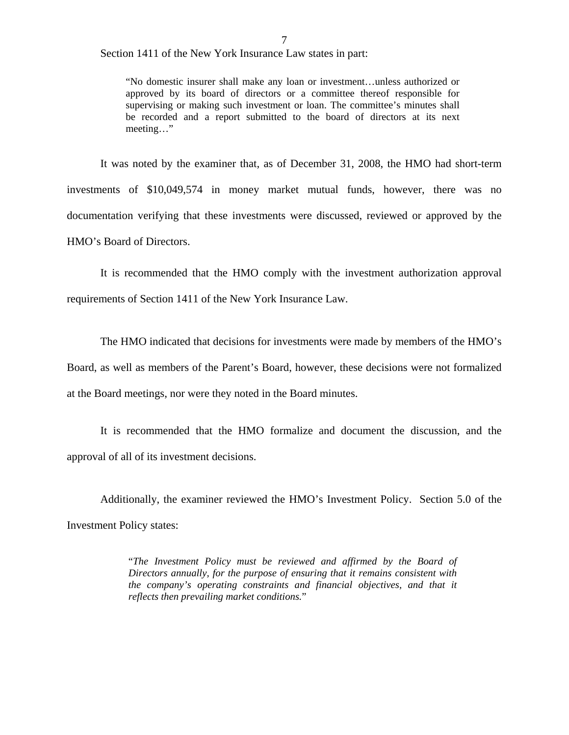Section 1411 of the New York Insurance Law states in part:

"No domestic insurer shall make any loan or investment…unless authorized or approved by its board of directors or a committee thereof responsible for supervising or making such investment or loan. The committee's minutes shall be recorded and a report submitted to the board of directors at its next meeting…"

It was noted by the examiner that, as of December 31, 2008, the HMO had short-term investments of \$10,049,574 in money market mutual funds, however, there was no documentation verifying that these investments were discussed, reviewed or approved by the HMO's Board of Directors.

It is recommended that the HMO comply with the investment authorization approval requirements of Section 1411 of the New York Insurance Law.

The HMO indicated that decisions for investments were made by members of the HMO's Board, as well as members of the Parent's Board, however, these decisions were not formalized at the Board meetings, nor were they noted in the Board minutes.

It is recommended that the HMO formalize and document the discussion, and the approval of all of its investment decisions.

Additionally, the examiner reviewed the HMO's Investment Policy. Section 5.0 of the Investment Policy states:

> "*The Investment Policy must be reviewed and affirmed by the Board of Directors annually, for the purpose of ensuring that it remains consistent with the company's operating constraints and financial objectives, and that it reflects then prevailing market conditions.*"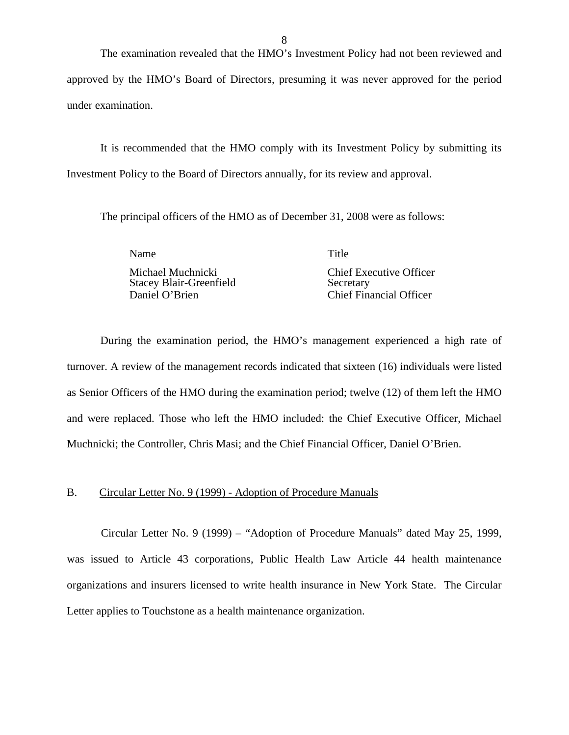The examination revealed that the HMO's Investment Policy had not been reviewed and approved by the HMO's Board of Directors, presuming it was never approved for the period under examination.

It is recommended that the HMO comply with its Investment Policy by submitting its Investment Policy to the Board of Directors annually, for its review and approval.

The principal officers of the HMO as of December 31, 2008 were as follows:

Name Title

 Michael Muchnicki Chief Executive Officer Stacey Blair-Greenfield Secretary Daniel O'Brien Chief Financial Officer

During the examination period, the HMO's management experienced a high rate of turnover. A review of the management records indicated that sixteen (16) individuals were listed as Senior Officers of the HMO during the examination period; twelve (12) of them left the HMO and were replaced. Those who left the HMO included: the Chief Executive Officer, Michael Muchnicki; the Controller, Chris Masi; and the Chief Financial Officer, Daniel O'Brien.

#### B. Circular Letter No. 9 (1999) - Adoption of Procedure Manuals

Circular Letter No. 9 (1999) – "Adoption of Procedure Manuals" dated May 25, 1999, was issued to Article 43 corporations, Public Health Law Article 44 health maintenance organizations and insurers licensed to write health insurance in New York State. The Circular Letter applies to Touchstone as a health maintenance organization.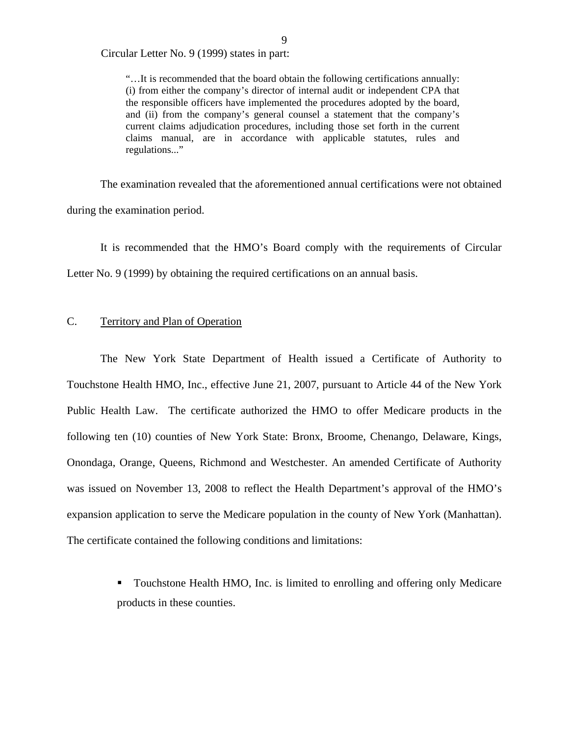<span id="page-10-0"></span>Circular Letter No. 9 (1999) states in part:

"…It is recommended that the board obtain the following certifications annually: (i) from either the company's director of internal audit or independent CPA that the responsible officers have implemented the procedures adopted by the board, and (ii) from the company's general counsel a statement that the company's current claims adjudication procedures, including those set forth in the current claims manual, are in accordance with applicable statutes, rules and regulations..."

The examination revealed that the aforementioned annual certifications were not obtained during the examination period.

It is recommended that the HMO's Board comply with the requirements of Circular Letter No. 9 (1999) by obtaining the required certifications on an annual basis.

#### Territory and Plan of Operation

C. Territory and Plan of Operation<br>The New York State Department of Health issued a Certificate of Authority to Touchstone Health HMO, Inc., effective June 21, 2007, pursuant to Article 44 of the New York Public Health Law. The certificate authorized the HMO to offer Medicare products in the following ten (10) counties of New York State: Bronx, Broome, Chenango, Delaware, Kings, Onondaga, Orange, Queens, Richmond and Westchester. An amended Certificate of Authority was issued on November 13, 2008 to reflect the Health Department's approval of the HMO's expansion application to serve the Medicare population in the county of New York (Manhattan). The certificate contained the following conditions and limitations:

> Touchstone Health HMO, Inc. is limited to enrolling and offering only Medicare products in these counties.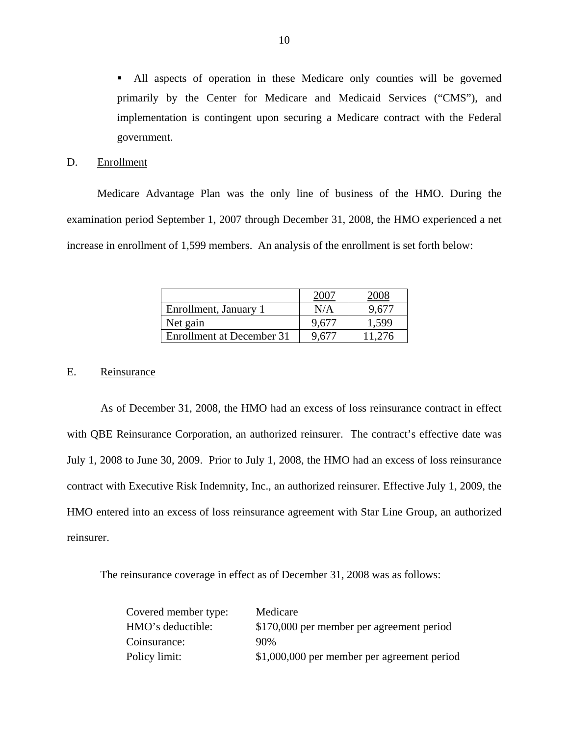All aspects of operation in these Medicare only counties will be governed primarily by the Center for Medicare and Medicaid Services ("CMS"), and implementation is contingent upon securing a Medicare contract with the Federal government.

#### D. Enrollment

Medicare Advantage Plan was the only line of business of the HMO. During the examination period September 1, 2007 through December 31, 2008, the HMO experienced a net increase in enrollment of 1,599 members. An analysis of the enrollment is set forth below:

| Enrollment, January 1     | N/A   | 9.671  |
|---------------------------|-------|--------|
| Net gain                  | 9.61' | 1,599  |
| Enrollment at December 31 |       | 11.276 |

#### E. Reinsurance

As of December 31, 2008, the HMO had an excess of loss reinsurance contract in effect with QBE Reinsurance Corporation, an authorized reinsurer. The contract's effective date was July 1, 2008 to June 30, 2009. Prior to July 1, 2008, the HMO had an excess of loss reinsurance contract with Executive Risk Indemnity, Inc., an authorized reinsurer. Effective July 1, 2009, the HMO entered into an excess of loss reinsurance agreement with Star Line Group, an authorized reinsurer.

The reinsurance coverage in effect as of December 31, 2008 was as follows:

| Covered member type: | Medicare                                    |
|----------------------|---------------------------------------------|
| HMO's deductible:    | \$170,000 per member per agreement period   |
| Coinsurance:         | $90\%$                                      |
| Policy limit:        | \$1,000,000 per member per agreement period |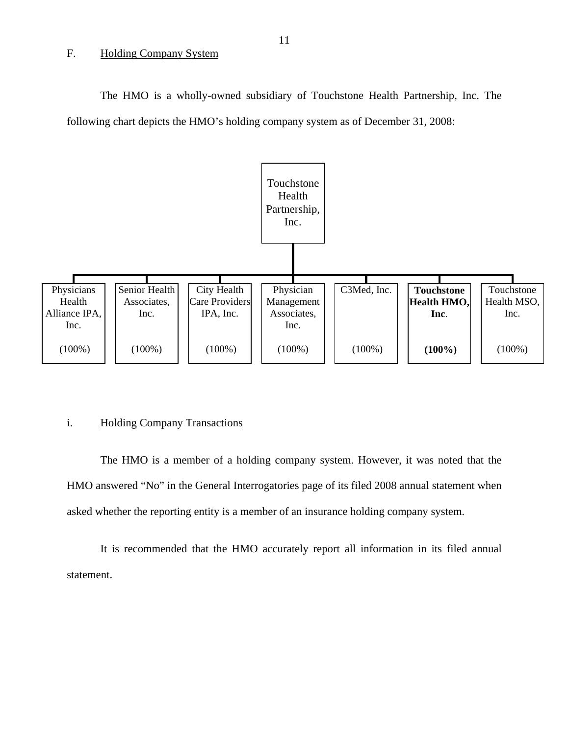#### <span id="page-12-0"></span>F. Holding Company System

The HMO is a wholly-owned subsidiary of Touchstone Health Partnership, Inc. The following chart depicts the HMO's holding company system as of December 31, 2008:



#### i. Holding Company Transactions

The HMO is a member of a holding company system. However, it was noted that the HMO answered "No" in the General Interrogatories page of its filed 2008 annual statement when asked whether the reporting entity is a member of an insurance holding company system.

It is recommended that the HMO accurately report all information in its filed annual statement.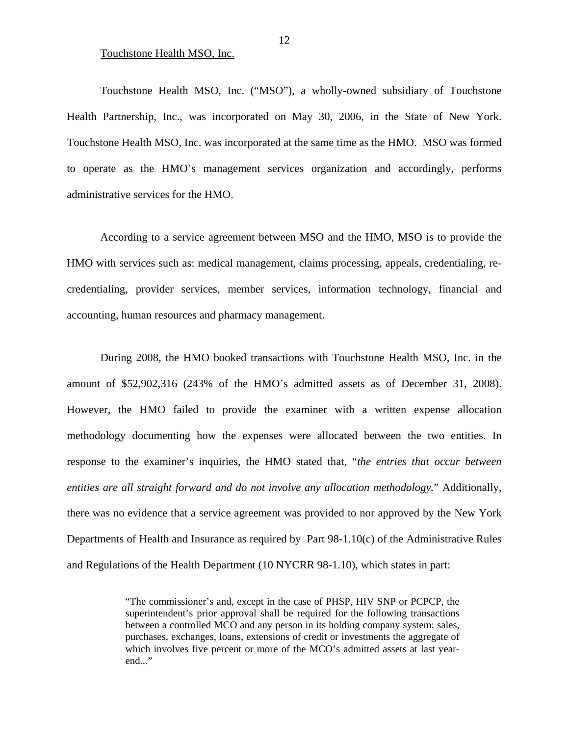#### Touchstone Health MSO, Inc.

Touchstone Health MSO, Inc. ("MSO"), a wholly-owned subsidiary of Touchstone Health Partnership, Inc., was incorporated on May 30, 2006, in the State of New York. Touchstone Health MSO, Inc. was incorporated at the same time as the HMO. MSO was formed to operate as the HMO's management services organization and accordingly, performs administrative services for the HMO.

According to a service agreement between MSO and the HMO, MSO is to provide the HMO with services such as: medical management, claims processing, appeals, credentialing, recredentialing, provider services, member services, information technology, financial and accounting, human resources and pharmacy management.

During 2008, the HMO booked transactions with Touchstone Health MSO, Inc. in the amount of \$52,902,316 (243% of the HMO's admitted assets as of December 31, 2008). However, the HMO failed to provide the examiner with a written expense allocation methodology documenting how the expenses were allocated between the two entities. In response to the examiner's inquiries, the HMO stated that, "*the entries that occur between entities are all straight forward and do not involve any allocation methodology.*" Additionally, there was no evidence that a service agreement was provided to nor approved by the New York Departments of Health and Insurance as required by Part 98-1.10(c) of the Administrative Rules and Regulations of the Health Department (10 NYCRR 98-1.10), which states in part:

> "The commissioner's and, except in the case of PHSP, HIV SNP or PCPCP, the superintendent's prior approval shall be required for the following transactions between a controlled MCO and any person in its holding company system: sales, purchases, exchanges, loans, extensions of credit or investments the aggregate of which involves five percent or more of the MCO's admitted assets at last yearend..."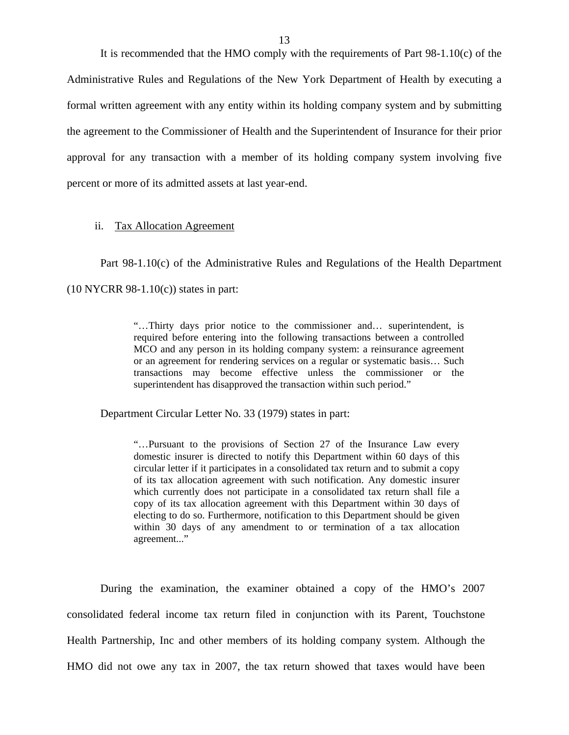<span id="page-14-0"></span>It is recommended that the HMO comply with the requirements of Part 98-1.10(c) of the Administrative Rules and Regulations of the New York Department of Health by executing a formal written agreement with any entity within its holding company system and by submitting the agreement to the Commissioner of Health and the Superintendent of Insurance for their prior approval for any transaction with a member of its holding company system involving five percent or more of its admitted assets at last year-end.

#### ii. Tax Allocation Agreement

Part 98-1.10(c) of the Administrative Rules and Regulations of the Health Department  $(10 NYCRR 98-1.10(c))$  states in part:

> transactions may become effective unless the commissioner or the "…Thirty days prior notice to the commissioner and… superintendent, is required before entering into the following transactions between a controlled MCO and any person in its holding company system: a reinsurance agreement or an agreement for rendering services on a regular or systematic basis… Such superintendent has disapproved the transaction within such period."

Department Circular Letter No. 33 (1979) states in part:

"…Pursuant to the provisions of Section 27 of the Insurance Law every domestic insurer is directed to notify this Department within 60 days of this circular letter if it participates in a consolidated tax return and to submit a copy of its tax allocation agreement with such notification. Any domestic insurer which currently does not participate in a consolidated tax return shall file a copy of its tax allocation agreement with this Department within 30 days of electing to do so. Furthermore, notification to this Department should be given within 30 days of any amendment to or termination of a tax allocation agreement..."

During the examination, the examiner obtained a copy of the HMO's 2007 consolidated federal income tax return filed in conjunction with its Parent, Touchstone Health Partnership, Inc and other members of its holding company system. Although the HMO did not owe any tax in 2007, the tax return showed that taxes would have been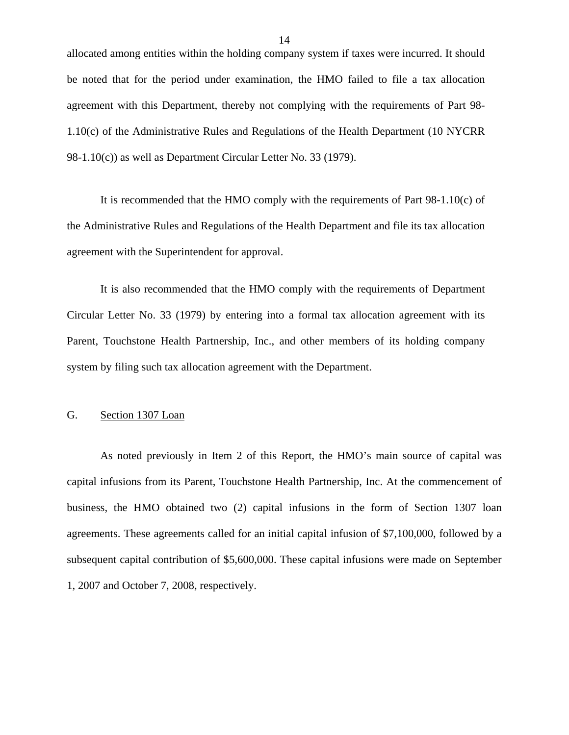<span id="page-15-0"></span>allocated among entities within the holding company system if taxes were incurred. It should be noted that for the period under examination, the HMO failed to file a tax allocation agreement with this Department, thereby not complying with the requirements of Part 98- 1.10(c) of the Administrative Rules and Regulations of the Health Department (10 NYCRR 98-1.10(c)) as well as Department Circular Letter No. 33 (1979).

It is recommended that the HMO comply with the requirements of Part 98-1.10(c) of the Administrative Rules and Regulations of the Health Department and file its tax allocation agreement with the Superintendent for approval.

It is also recommended that the HMO comply with the requirements of Department Circular Letter No. 33 (1979) by entering into a formal tax allocation agreement with its Parent, Touchstone Health Partnership, Inc., and other members of its holding company system by filing such tax allocation agreement with the Department.

#### G. Section 1307 Loan

As noted previously in Item 2 of this Report, the HMO's main source of capital was capital infusions from its Parent, Touchstone Health Partnership, Inc. At the commencement of business, the HMO obtained two (2) capital infusions in the form of Section 1307 loan agreements. These agreements called for an initial capital infusion of \$7,100,000, followed by a subsequent capital contribution of \$5,600,000. These capital infusions were made on September 1, 2007 and October 7, 2008, respectively.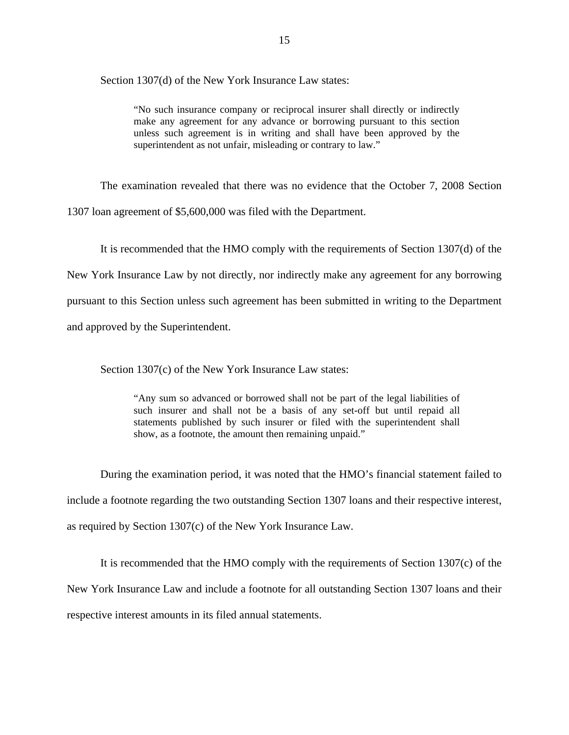Section 1307(d) of the New York Insurance Law states:

"No such insurance company or reciprocal insurer shall directly or indirectly make any agreement for any advance or borrowing pursuant to this section unless such agreement is in writing and shall have been approved by the superintendent as not unfair, misleading or contrary to law."

The examination revealed that there was no evidence that the October 7, 2008 Section 1307 loan agreement of \$5,600,000 was filed with the Department.

It is recommended that the HMO comply with the requirements of Section 1307(d) of the New York Insurance Law by not directly, nor indirectly make any agreement for any borrowing pursuant to this Section unless such agreement has been submitted in writing to the Department and approved by the Superintendent.

Section 1307(c) of the New York Insurance Law states:

"Any sum so advanced or borrowed shall not be part of the legal liabilities of such insurer and shall not be a basis of any set-off but until repaid all statements published by such insurer or filed with the superintendent shall show, as a footnote, the amount then remaining unpaid."

During the examination period, it was noted that the HMO's financial statement failed to include a footnote regarding the two outstanding Section 1307 loans and their respective interest, as required by Section 1307(c) of the New York Insurance Law.

It is recommended that the HMO comply with the requirements of Section 1307(c) of the New York Insurance Law and include a footnote for all outstanding Section 1307 loans and their respective interest amounts in its filed annual statements.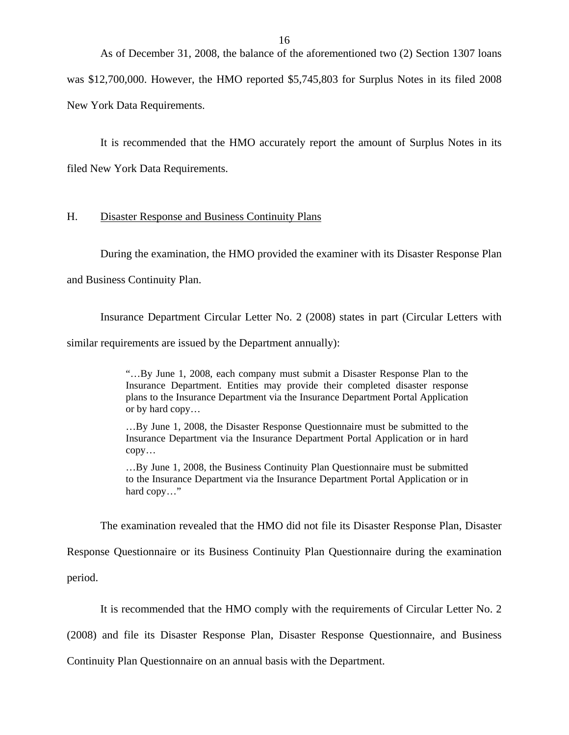<span id="page-17-0"></span>As of December 31, 2008, the balance of the aforementioned two (2) Section 1307 loans was \$12,700,000. However, the HMO reported \$5,745,803 for Surplus Notes in its filed 2008

New York Data Requirements.

It is recommended that the HMO accurately report the amount of Surplus Notes in its filed New York Data Requirements.

#### H. Disaster Response and Business Continuity Plans

During the examination, the HMO provided the examiner with its Disaster Response Plan

and Business Continuity Plan.

Insurance Department Circular Letter No. 2 (2008) states in part (Circular Letters with

similar requirements are issued by the Department annually):

"…By June 1, 2008, each company must submit a Disaster Response Plan to the Insurance Department. Entities may provide their completed disaster response plans to the Insurance Department via the Insurance Department Portal Application or by hard copy…

…By June 1, 2008, the Disaster Response Questionnaire must be submitted to the Insurance Department via the Insurance Department Portal Application or in hard copy…

…By June 1, 2008, the Business Continuity Plan Questionnaire must be submitted to the Insurance Department via the Insurance Department Portal Application or in hard copy…"

The examination revealed that the HMO did not file its Disaster Response Plan, Disaster

Response Questionnaire or its Business Continuity Plan Questionnaire during the examination period.

It is recommended that the HMO comply with the requirements of Circular Letter No. 2

(2008) and file its Disaster Response Plan, Disaster Response Questionnaire, and Business

Continuity Plan Questionnaire on an annual basis with the Department.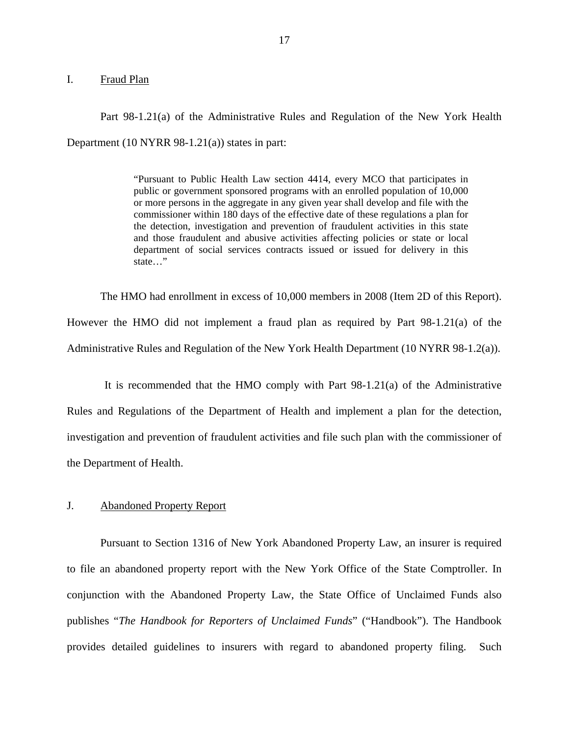#### <span id="page-18-0"></span>I. Fraud Plan

Part 98-1.21(a) of the Administrative Rules and Regulation of the New York Health Department (10 NYRR 98-1.21(a)) states in part:

> "Pursuant to Public Health Law section 4414, every MCO that participates in public or government sponsored programs with an enrolled population of 10,000 or more persons in the aggregate in any given year shall develop and file with the commissioner within 180 days of the effective date of these regulations a plan for the detection, investigation and prevention of fraudulent activities in this state and those fraudulent and abusive activities affecting policies or state or local department of social services contracts issued or issued for delivery in this state…"

The HMO had enrollment in excess of 10,000 members in 2008 (Item 2D of this Report). However the HMO did not implement a fraud plan as required by Part 98-1.21(a) of the Administrative Rules and Regulation of the New York Health Department (10 NYRR 98-1.2(a)).

It is recommended that the HMO comply with Part 98-1.21(a) of the Administrative Rules and Regulations of the Department of Health and implement a plan for the detection, investigation and prevention of fraudulent activities and file such plan with the commissioner of the Department of Health.

### J. Abandoned Property Report

Pursuant to Section 1316 of New York Abandoned Property Law, an insurer is required to file an abandoned property report with the New York Office of the State Comptroller. In conjunction with the Abandoned Property Law, the State Office of Unclaimed Funds also publishes "*The Handbook for Reporters of Unclaimed Funds*" ("Handbook"). The Handbook provides detailed guidelines to insurers with regard to abandoned property filing. Such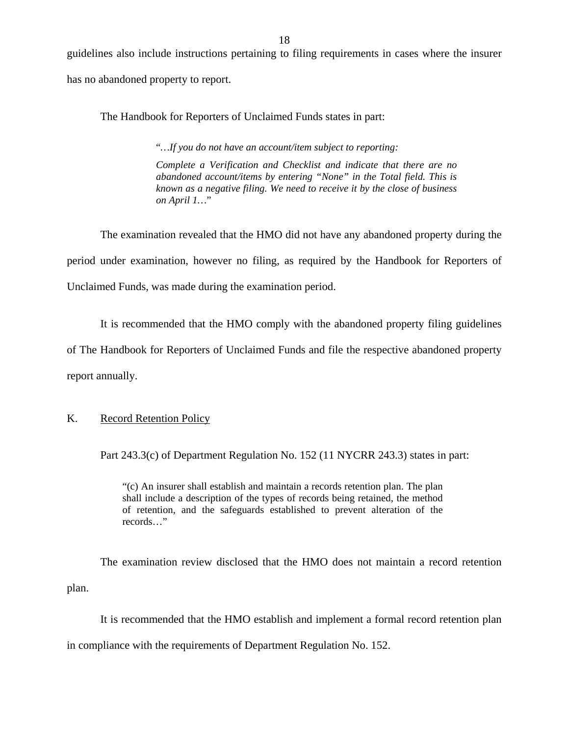<span id="page-19-0"></span>guidelines also include instructions pertaining to filing requirements in cases where the insurer has no abandoned property to report.

The Handbook for Reporters of Unclaimed Funds states in part:

"*…If you do not have an account/item subject to reporting:* 

*Complete a Verification and Checklist and indicate that there are no abandoned account/items by entering "None" in the Total field. This is known as a negative filing. We need to receive it by the close of business on April 1…*"

The examination revealed that the HMO did not have any abandoned property during the period under examination, however no filing, as required by the Handbook for Reporters of Unclaimed Funds, was made during the examination period.

It is recommended that the HMO comply with the abandoned property filing guidelines

of The Handbook for Reporters of Unclaimed Funds and file the respective abandoned property report annually.

### K. Record Retention Policy

Part 243.3(c) of Department Regulation No. 152 (11 NYCRR 243.3) states in part:

"(c) An insurer shall establish and maintain a records retention plan. The plan shall include a description of the types of records being retained, the method of retention, and the safeguards established to prevent alteration of the records…"

The examination review disclosed that the HMO does not maintain a record retention plan.

It is recommended that the HMO establish and implement a formal record retention plan

in compliance with the requirements of Department Regulation No. 152.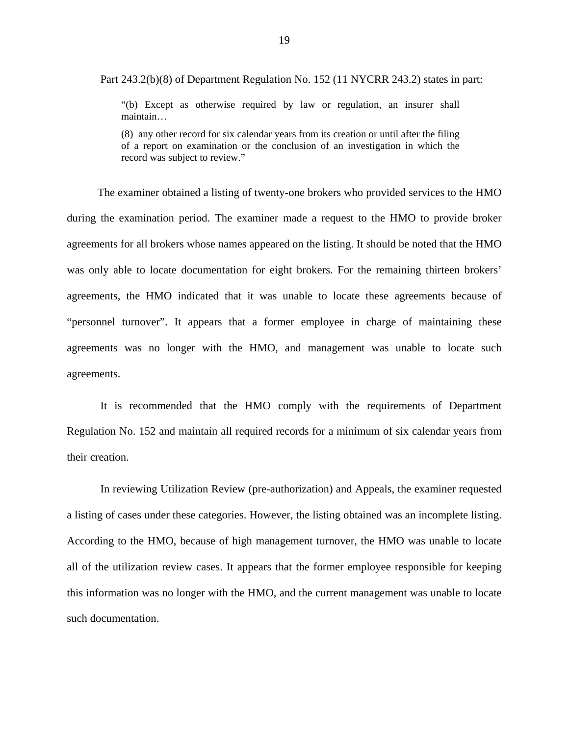Part 243.2(b)(8) of Department Regulation No. 152 (11 NYCRR 243.2) states in part:

"(b) Except as otherwise required by law or regulation, an insurer shall maintain…

(8) any other record for six calendar years from its creation or until after the filing of a report on examination or the conclusion of an investigation in which the record was subject to review."

The examiner obtained a listing of twenty-one brokers who provided services to the HMO during the examination period. The examiner made a request to the HMO to provide broker agreements for all brokers whose names appeared on the listing. It should be noted that the HMO was only able to locate documentation for eight brokers. For the remaining thirteen brokers' agreements, the HMO indicated that it was unable to locate these agreements because of "personnel turnover". It appears that a former employee in charge of maintaining these agreements was no longer with the HMO, and management was unable to locate such agreements.

It is recommended that the HMO comply with the requirements of Department Regulation No. 152 and maintain all required records for a minimum of six calendar years from their creation.

In reviewing Utilization Review (pre-authorization) and Appeals, the examiner requested a listing of cases under these categories. However, the listing obtained was an incomplete listing. According to the HMO, because of high management turnover, the HMO was unable to locate all of the utilization review cases. It appears that the former employee responsible for keeping this information was no longer with the HMO, and the current management was unable to locate such documentation.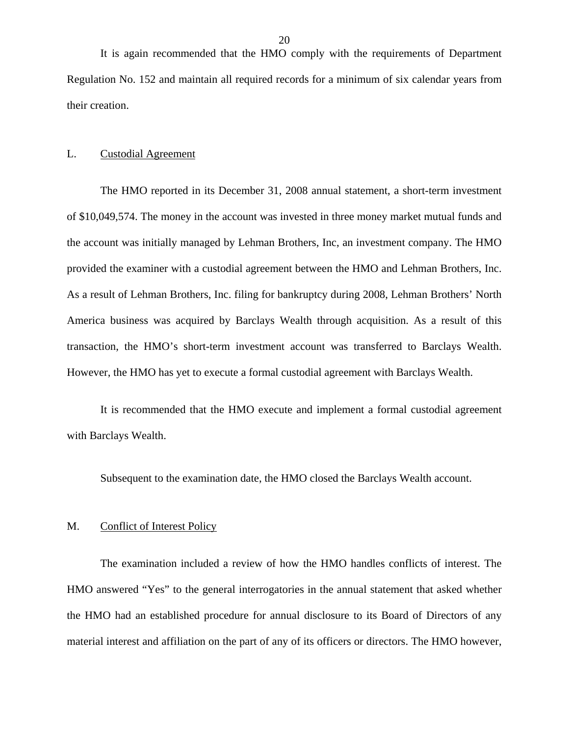<span id="page-21-0"></span>It is again recommended that the HMO comply with the requirements of Department Regulation No. 152 and maintain all required records for a minimum of six calendar years from their creation.

#### L. Custodial Agreement

The HMO reported in its December 31, 2008 annual statement, a short-term investment of \$10,049,574. The money in the account was invested in three money market mutual funds and the account was initially managed by Lehman Brothers, Inc, an investment company. The HMO provided the examiner with a custodial agreement between the HMO and Lehman Brothers, Inc. As a result of Lehman Brothers, Inc. filing for bankruptcy during 2008, Lehman Brothers' North America business was acquired by Barclays Wealth through acquisition. As a result of this transaction, the HMO's short-term investment account was transferred to Barclays Wealth. However, the HMO has yet to execute a formal custodial agreement with Barclays Wealth.

It is recommended that the HMO execute and implement a formal custodial agreement with Barclays Wealth.

Subsequent to the examination date, the HMO closed the Barclays Wealth account.

#### M. Conflict of Interest Policy

The examination included a review of how the HMO handles conflicts of interest. The HMO answered "Yes" to the general interrogatories in the annual statement that asked whether the HMO had an established procedure for annual disclosure to its Board of Directors of any material interest and affiliation on the part of any of its officers or directors. The HMO however,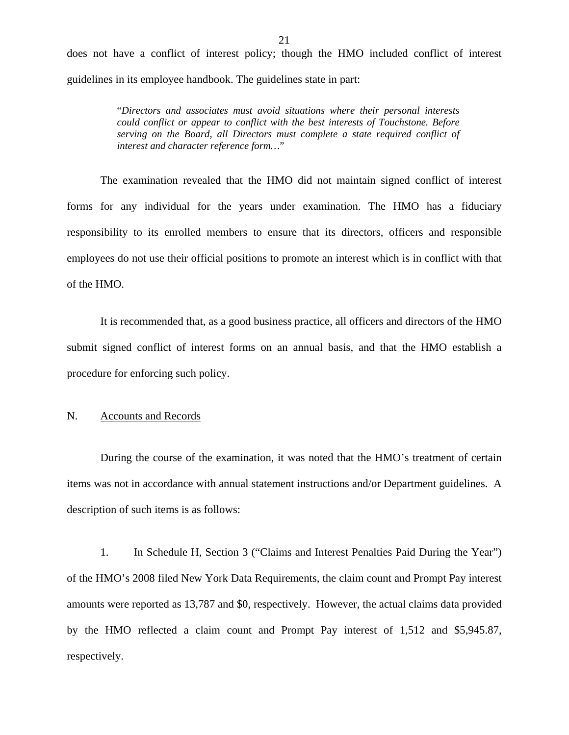<span id="page-22-0"></span>does not have a conflict of interest policy; though the HMO included conflict of interest guidelines in its employee handbook. The guidelines state in part:

> "*Directors and associates must avoid situations where their personal interests could conflict or appear to conflict with the best interests of Touchstone. Before serving on the Board, all Directors must complete a state required conflict of interest and character reference form…*"

The examination revealed that the HMO did not maintain signed conflict of interest forms for any individual for the years under examination. The HMO has a fiduciary responsibility to its enrolled members to ensure that its directors, officers and responsible employees do not use their official positions to promote an interest which is in conflict with that of the HMO.

It is recommended that, as a good business practice, all officers and directors of the HMO submit signed conflict of interest forms on an annual basis, and that the HMO establish a procedure for enforcing such policy.

N. Accounts and Records

During the course of the examination, it was noted that the HMO's treatment of certain items was not in accordance with annual statement instructions and/or Department guidelines. A description of such items is as follows:

1. In Schedule H, Section 3 ("Claims and Interest Penalties Paid During the Year") of the HMO's 2008 filed New York Data Requirements, the claim count and Prompt Pay interest amounts were reported as 13,787 and \$0, respectively. However, the actual claims data provided by the HMO reflected a claim count and Prompt Pay interest of 1,512 and \$[5,945.87,](https://5,945.87) respectively.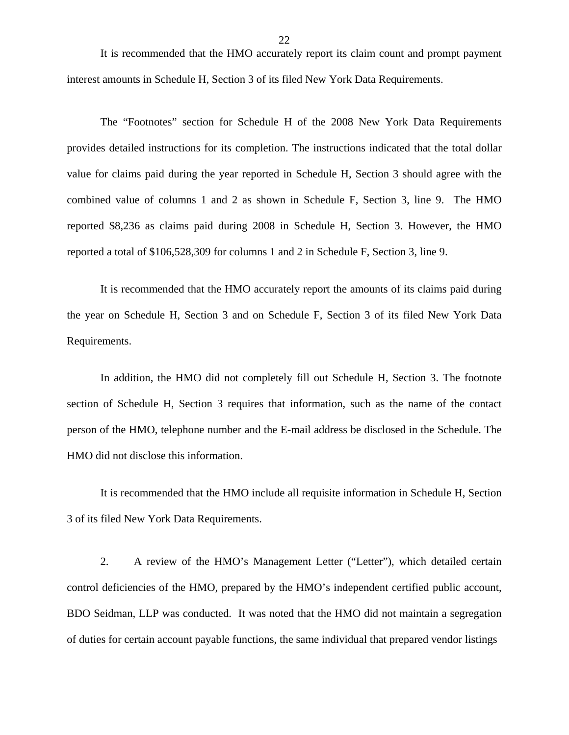It is recommended that the HMO accurately report its claim count and prompt payment interest amounts in Schedule H, Section 3 of its filed New York Data Requirements.

The "Footnotes" section for Schedule H of the 2008 New York Data Requirements provides detailed instructions for its completion. The instructions indicated that the total dollar value for claims paid during the year reported in Schedule H, Section 3 should agree with the combined value of columns 1 and 2 as shown in Schedule F, Section 3, line 9. The HMO reported \$8,236 as claims paid during 2008 in Schedule H, Section 3. However, the HMO reported a total of \$106,528,309 for columns 1 and 2 in Schedule F, Section 3, line 9.

It is recommended that the HMO accurately report the amounts of its claims paid during the year on Schedule H, Section 3 and on Schedule F, Section 3 of its filed New York Data Requirements.

In addition, the HMO did not completely fill out Schedule H, Section 3. The footnote section of Schedule H, Section 3 requires that information, such as the name of the contact person of the HMO, telephone number and the E-mail address be disclosed in the Schedule. The HMO did not disclose this information.

It is recommended that the HMO include all requisite information in Schedule H, Section 3 of its filed New York Data Requirements.

2. A review of the HMO's Management Letter ("Letter"), which detailed certain control deficiencies of the HMO, prepared by the HMO's independent certified public account, BDO Seidman, LLP was conducted. It was noted that the HMO did not maintain a segregation of duties for certain account payable functions, the same individual that prepared vendor listings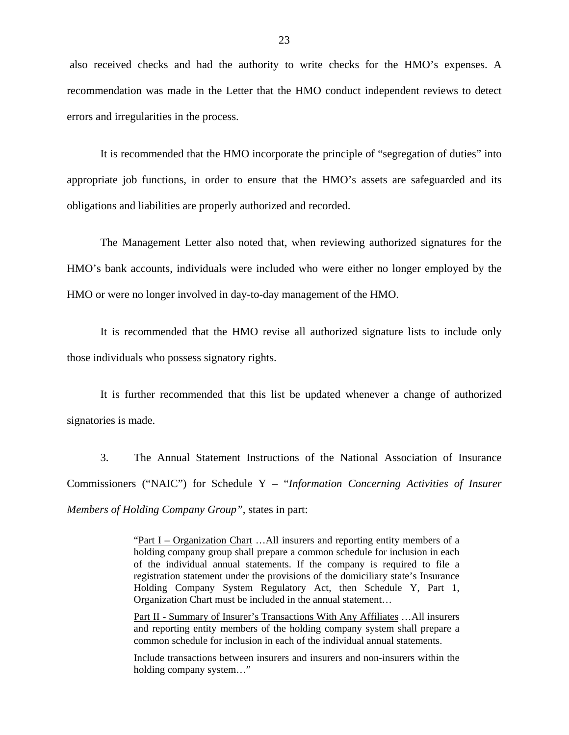also received checks and had the authority to write checks for the HMO's expenses. A recommendation was made in the Letter that the HMO conduct independent reviews to detect errors and irregularities in the process.

It is recommended that the HMO incorporate the principle of "segregation of duties" into appropriate job functions, in order to ensure that the HMO's assets are safeguarded and its obligations and liabilities are properly authorized and recorded.

The Management Letter also noted that, when reviewing authorized signatures for the HMO's bank accounts, individuals were included who were either no longer employed by the HMO or were no longer involved in day-to-day management of the HMO.

It is recommended that the HMO revise all authorized signature lists to include only those individuals who possess signatory rights.

It is further recommended that this list be updated whenever a change of authorized signatories is made.

3. The Annual Statement Instructions of the National Association of Insurance Commissioners ("NAIC") for Schedule Y – "*Information Concerning Activities of Insurer Members of Holding Company Group",* states in part:

> "Part I – Organization Chart …All insurers and reporting entity members of a holding company group shall prepare a common schedule for inclusion in each of the individual annual statements. If the company is required to file a registration statement under the provisions of the domiciliary state's Insurance Holding Company System Regulatory Act, then Schedule Y, Part 1, Organization Chart must be included in the annual statement…

> Part II - Summary of Insurer's Transactions With Any Affiliates …All insurers and reporting entity members of the holding company system shall prepare a common schedule for inclusion in each of the individual annual statements.

> Include transactions between insurers and insurers and non-insurers within the holding company system…"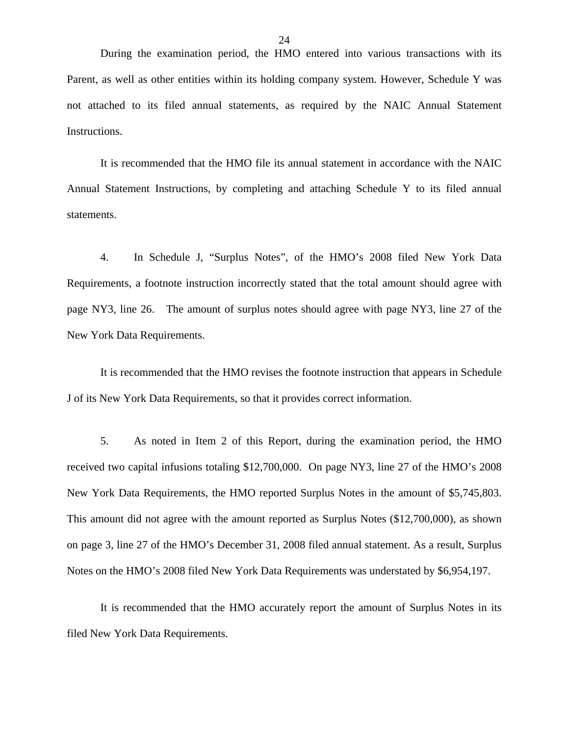During the examination period, the HMO entered into various transactions with its Parent, as well as other entities within its holding company system. However, Schedule Y was not attached to its filed annual statements, as required by the NAIC Annual Statement Instructions.

It is recommended that the HMO file its annual statement in accordance with the NAIC Annual Statement Instructions, by completing and attaching Schedule Y to its filed annual statements.

4. In Schedule J, "Surplus Notes", of the HMO's 2008 filed New York Data Requirements, a footnote instruction incorrectly stated that the total amount should agree with page NY3, line 26. The amount of surplus notes should agree with page NY3, line 27 of the New York Data Requirements.

It is recommended that the HMO revises the footnote instruction that appears in Schedule J of its New York Data Requirements, so that it provides correct information.

5. As noted in Item 2 of this Report, during the examination period, the HMO received two capital infusions totaling \$12,700,000. On page NY3, line 27 of the HMO's 2008 New York Data Requirements, the HMO reported Surplus Notes in the amount of \$5,745,803. This amount did not agree with the amount reported as Surplus Notes (\$12,700,000), as shown on page 3, line 27 of the HMO's December 31, 2008 filed annual statement. As a result, Surplus Notes on the HMO's 2008 filed New York Data Requirements was understated by \$6,954,197.

It is recommended that the HMO accurately report the amount of Surplus Notes in its filed New York Data Requirements.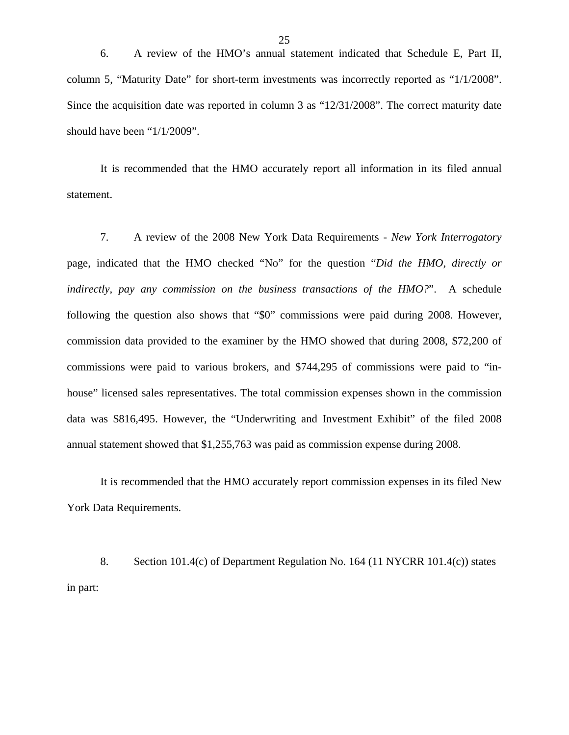6. A review of the HMO's annual statement indicated that Schedule E, Part II, column 5, "Maturity Date" for short-term investments was incorrectly reported as "1/1/2008". Since the acquisition date was reported in column 3 as "12/31/2008". The correct maturity date should have been "1/1/2009".

It is recommended that the HMO accurately report all information in its filed annual statement.

7. A review of the 2008 New York Data Requirements - *New York Interrogatory*  page, indicated that the HMO checked "No" for the question "*Did the HMO, directly or indirectly, pay any commission on the business transactions of the HMO?*". A schedule following the question also shows that "\$0" commissions were paid during 2008. However, commission data provided to the examiner by the HMO showed that during 2008, \$72,200 of commissions were paid to various brokers, and \$744,295 of commissions were paid to "inhouse" licensed sales representatives. The total commission expenses shown in the commission data was \$816,495. However, the "Underwriting and Investment Exhibit" of the filed 2008 annual statement showed that \$1,255,763 was paid as commission expense during 2008.

It is recommended that the HMO accurately report commission expenses in its filed New York Data Requirements.

8. Section 101.4(c) of Department Regulation No. 164 (11 NYCRR 101.4(c)) states in part: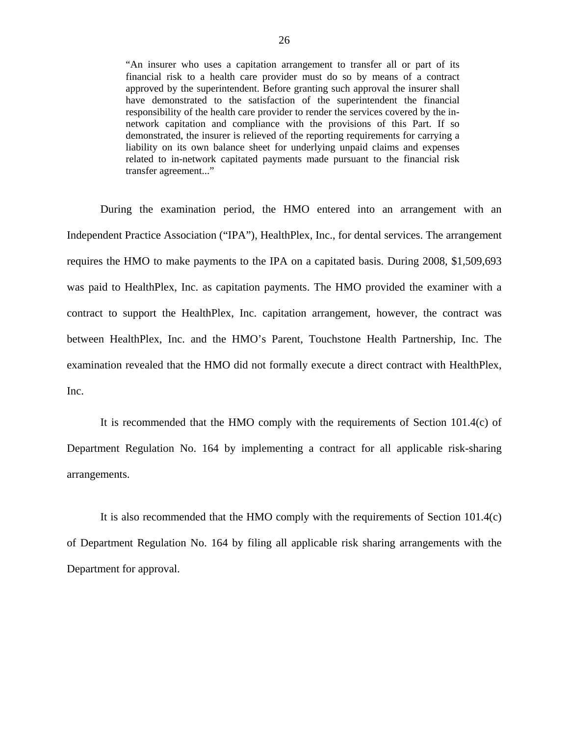"An insurer who uses a capitation arrangement to transfer all or part of its financial risk to a health care provider must do so by means of a contract approved by the superintendent. Before granting such approval the insurer shall have demonstrated to the satisfaction of the superintendent the financial responsibility of the health care provider to render the services covered by the innetwork capitation and compliance with the provisions of this Part. If so demonstrated, the insurer is relieved of the reporting requirements for carrying a liability on its own balance sheet for underlying unpaid claims and expenses related to in-network capitated payments made pursuant to the financial risk transfer agreement..."

During the examination period, the HMO entered into an arrangement with an Independent Practice Association ("IPA"), HealthPlex, Inc., for dental services. The arrangement requires the HMO to make payments to the IPA on a capitated basis. During 2008, \$1,509,693 was paid to HealthPlex, Inc. as capitation payments. The HMO provided the examiner with a contract to support the HealthPlex, Inc. capitation arrangement, however, the contract was between HealthPlex, Inc. and the HMO's Parent, Touchstone Health Partnership, Inc. The examination revealed that the HMO did not formally execute a direct contract with HealthPlex, Inc.

It is recommended that the HMO comply with the requirements of Section 101.4(c) of Department Regulation No. 164 by implementing a contract for all applicable risk-sharing arrangements.

It is also recommended that the HMO comply with the requirements of Section 101.4(c) of Department Regulation No. 164 by filing all applicable risk sharing arrangements with the Department for approval.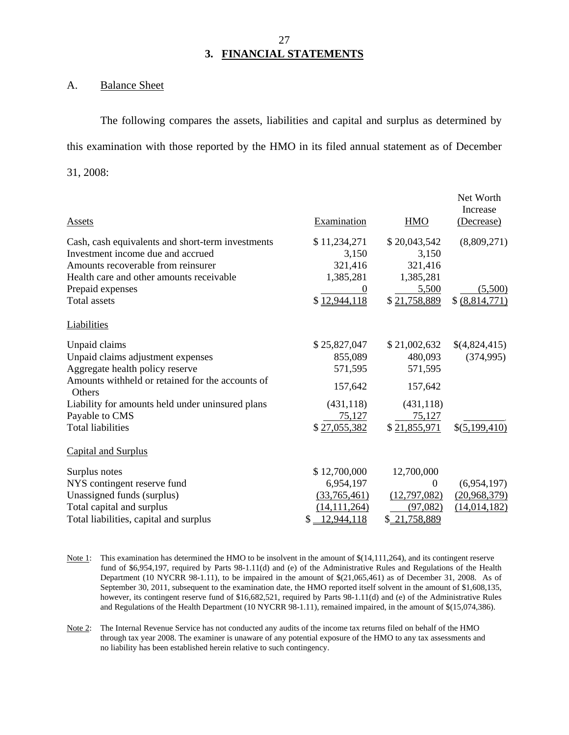#### 27 **3. FINANCIAL STATEMENTS**

#### A. Balance Sheet

The following compares the assets, liabilities and capital and surplus as determined by this examination with those reported by the HMO in its filed annual statement as of December 31, 2008:

| Assets                                                            | Examination       | <b>HMO</b>   | Net Worth<br>Increase<br>(Decrease) |
|-------------------------------------------------------------------|-------------------|--------------|-------------------------------------|
| Cash, cash equivalents and short-term investments                 | \$11,234,271      | \$20,043,542 | (8,809,271)                         |
| Investment income due and accrued                                 | 3,150             | 3,150        |                                     |
| Amounts recoverable from reinsurer                                | 321,416           | 321,416      |                                     |
| Health care and other amounts receivable                          | 1,385,281         | 1,385,281    |                                     |
| Prepaid expenses                                                  |                   | 5,500        | (5,500)                             |
| <b>Total assets</b>                                               | \$12,944,118      | \$21,758,889 | \$ (8,814,771)                      |
| Liabilities                                                       |                   |              |                                     |
| Unpaid claims                                                     | \$25,827,047      | \$21,002,632 | \$(4,824,415)                       |
| Unpaid claims adjustment expenses                                 | 855,089           | 480,093      | (374, 995)                          |
| Aggregate health policy reserve                                   | 571,595           | 571,595      |                                     |
| Amounts withheld or retained for the accounts of<br><b>Others</b> | 157,642           | 157,642      |                                     |
| Liability for amounts held under uninsured plans                  | (431, 118)        | (431, 118)   |                                     |
| Payable to CMS                                                    | 75,127            | 75,127       |                                     |
| <b>Total liabilities</b>                                          | \$27,055,382      | \$21,855,971 | \$(5,199,410)                       |
| <b>Capital and Surplus</b>                                        |                   |              |                                     |
| Surplus notes                                                     | \$12,700,000      | 12,700,000   |                                     |
| NYS contingent reserve fund                                       | 6,954,197         | 0            | (6,954,197)                         |
| Unassigned funds (surplus)                                        | (33,765,461)      | (12,797,082) | (20,968,379)                        |
| Total capital and surplus                                         | (14, 111, 264)    | (97,082)     | (14, 014, 182)                      |
| Total liabilities, capital and surplus                            | 12,944,118<br>\$. | \$21,758,889 |                                     |

- Note 1: This examination has determined the HMO to be insolvent in the amount of  $\$(14,111,264)$ , and its contingent reserve fund of \$6,954,197, required by Parts 98-1.11(d) and (e) of the Administrative Rules and Regulations of the Health Department (10 NYCRR 98-1.11), to be impaired in the amount of \$(21,065,461) as of December 31, 2008. As of September 30, 2011, subsequent to the examination date, the HMO reported itself solvent in the amount of \$1,608,135, however, its contingent reserve fund of \$16,682,521, required by Parts 98-1.11(d) and (e) of the Administrative Rules and Regulations of the Health Department (10 NYCRR 98-1.11), remained impaired, in the amount of \$(15,074,386).
- Note 2: The Internal Revenue Service has not conducted any audits of the income tax returns filed on behalf of the HMO through tax year 2008. The examiner is unaware of any potential exposure of the HMO to any tax assessments and no liability has been established herein relative to such contingency.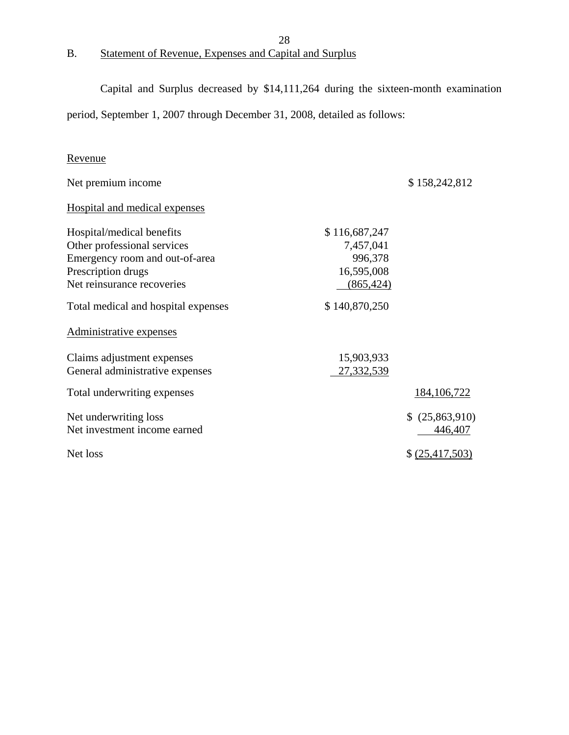# B. Statement of Revenue, Expenses and Capital and Surplus

Capital and Surplus decreased by \$14,111,264 during the sixteen-month examination

28

period, September 1, 2007 through December 31, 2008, detailed as follows:

## Revenue

| Net premium income                                            |                          | \$158,242,812              |
|---------------------------------------------------------------|--------------------------|----------------------------|
| Hospital and medical expenses                                 |                          |                            |
| Hospital/medical benefits                                     | \$116,687,247            |                            |
| Other professional services<br>Emergency room and out-of-area | 7,457,041<br>996,378     |                            |
| Prescription drugs                                            | 16,595,008               |                            |
| Net reinsurance recoveries                                    | (865, 424)               |                            |
| Total medical and hospital expenses                           | \$140,870,250            |                            |
| Administrative expenses                                       |                          |                            |
| Claims adjustment expenses<br>General administrative expenses | 15,903,933<br>27,332,539 |                            |
| Total underwriting expenses                                   |                          | 184, 106, 722              |
| Net underwriting loss<br>Net investment income earned         |                          | \$ (25,863,910)<br>446,407 |
| Net loss                                                      |                          | \$ (25,417,503)            |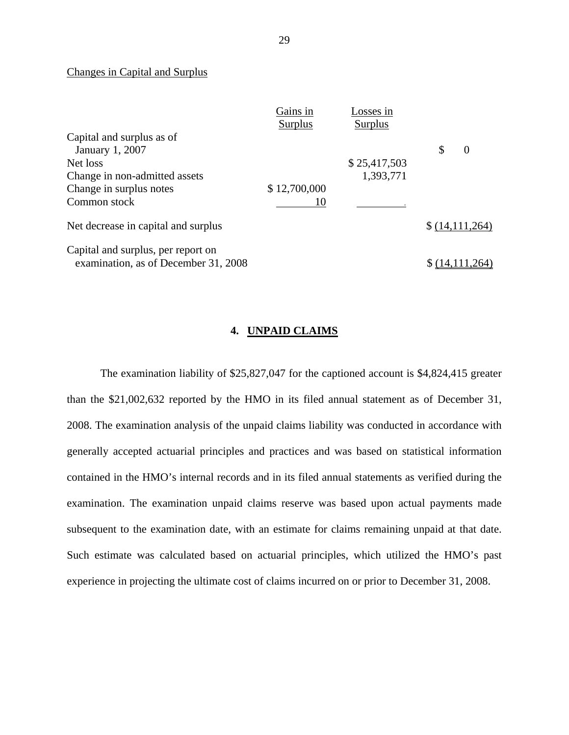#### Changes in Capital and Surplus

|                                      | Gains in       | Losses in      |                      |
|--------------------------------------|----------------|----------------|----------------------|
|                                      | <b>Surplus</b> | <b>Surplus</b> |                      |
| Capital and surplus as of            |                |                |                      |
| January 1, 2007                      |                |                | \$<br>$\overline{0}$ |
| Net loss                             |                | \$25,417,503   |                      |
| Change in non-admitted assets        |                | 1,393,771      |                      |
| Change in surplus notes              | \$12,700,000   |                |                      |
| Common stock                         | 10             |                |                      |
| Net decrease in capital and surplus  |                |                | \$(14,111,264)       |
| Capital and surplus, per report on   |                |                |                      |
| examination, as of December 31, 2008 |                |                |                      |

#### **4. UNPAID CLAIMS**

The examination liability of \$25,827,047 for the captioned account is \$4,824,415 greater than the \$21,002,632 reported by the HMO in its filed annual statement as of December 31, 2008. The examination analysis of the unpaid claims liability was conducted in accordance with generally accepted actuarial principles and practices and was based on statistical information contained in the HMO's internal records and in its filed annual statements as verified during the examination. The examination unpaid claims reserve was based upon actual payments made subsequent to the examination date, with an estimate for claims remaining unpaid at that date. Such estimate was calculated based on actuarial principles, which utilized the HMO's past experience in projecting the ultimate cost of claims incurred on or prior to December 31, 2008.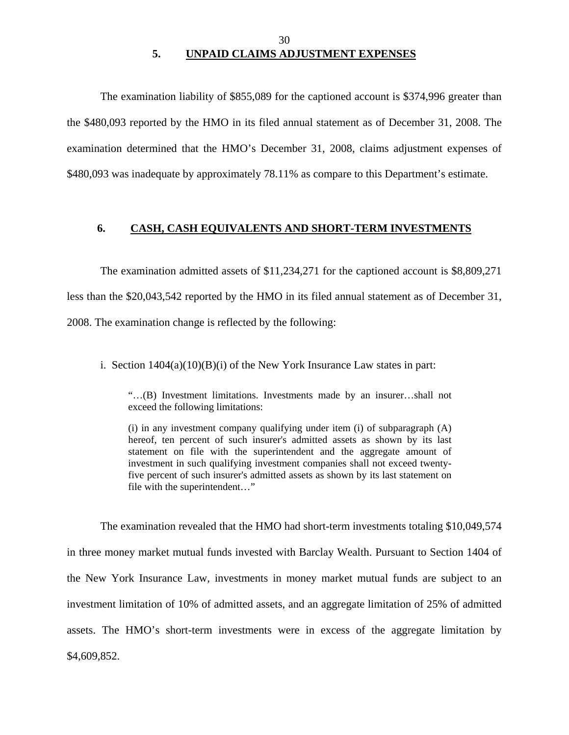#### 30 **5. UNPAID CLAIMS ADJUSTMENT EXPENSES**

<span id="page-31-0"></span>The examination liability of \$855,089 for the captioned account is \$374,996 greater than the \$480,093 reported by the HMO in its filed annual statement as of December 31, 2008. The examination determined that the HMO's December 31, 2008, claims adjustment expenses of \$480,093 was inadequate by approximately 78.11% as compare to this Department's estimate.

#### **6. CASH, CASH EQUIVALENTS AND SHORT-TERM INVESTMENTS**

The examination admitted assets of \$11,234,271 for the captioned account is \$8,809,271 less than the \$20,043,542 reported by the HMO in its filed annual statement as of December 31, 2008. The examination change is reflected by the following:

i. Section  $1404(a)(10)(B)(i)$  of the New York Insurance Law states in part:

"…(B) Investment limitations. Investments made by an insurer…shall not exceed the following limitations:

(i) in any investment company qualifying under item (i) of subparagraph (A) hereof, ten percent of such insurer's admitted assets as shown by its last statement on file with the superintendent and the aggregate amount of investment in such qualifying investment companies shall not exceed twentyfive percent of such insurer's admitted assets as shown by its last statement on file with the superintendent…"

The examination revealed that the HMO had short-term investments totaling \$10,049,574 in three money market mutual funds invested with Barclay Wealth. Pursuant to Section 1404 of the New York Insurance Law, investments in money market mutual funds are subject to an investment limitation of 10% of admitted assets, and an aggregate limitation of 25% of admitted assets. The HMO's short-term investments were in excess of the aggregate limitation by \$4,609,852.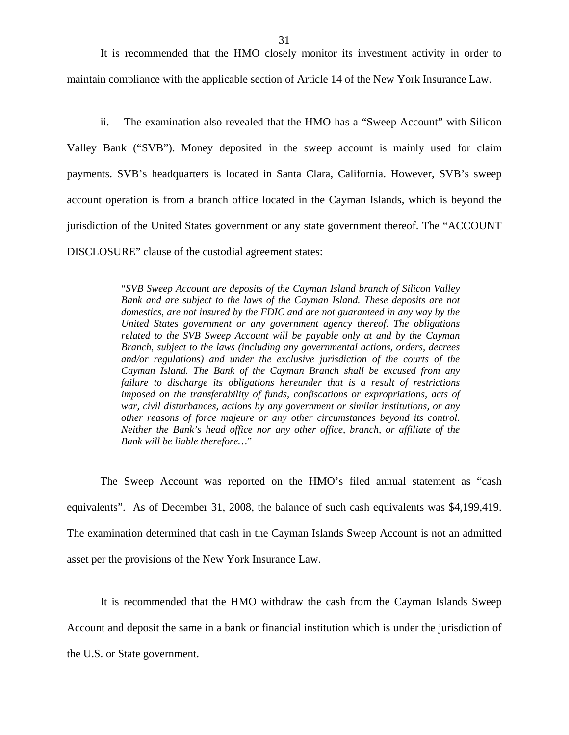It is recommended that the HMO closely monitor its investment activity in order to maintain compliance with the applicable section of Article 14 of the New York Insurance Law.

ii. The examination also revealed that the HMO has a "Sweep Account" with Silicon Valley Bank ("SVB"). Money deposited in the sweep account is mainly used for claim payments. SVB's headquarters is located in Santa Clara, California. However, SVB's sweep account operation is from a branch office located in the Cayman Islands, which is beyond the jurisdiction of the United States government or any state government thereof. The "ACCOUNT DISCLOSURE" clause of the custodial agreement states:

> "*SVB Sweep Account are deposits of the Cayman Island branch of Silicon Valley Bank and are subject to the laws of the Cayman Island. These deposits are not domestics, are not insured by the FDIC and are not guaranteed in any way by the United States government or any government agency thereof. The obligations related to the SVB Sweep Account will be payable only at and by the Cayman Branch, subject to the laws (including any governmental actions, orders, decrees and/or regulations) and under the exclusive jurisdiction of the courts of the Cayman Island. The Bank of the Cayman Branch shall be excused from any failure to discharge its obligations hereunder that is a result of restrictions imposed on the transferability of funds, confiscations or expropriations, acts of war, civil disturbances, actions by any government or similar institutions, or any other reasons of force majeure or any other circumstances beyond its control. Neither the Bank's head office nor any other office, branch, or affiliate of the Bank will be liable therefore…*"

The Sweep Account was reported on the HMO's filed annual statement as "cash equivalents". As of December 31, 2008, the balance of such cash equivalents was \$4,199,419. The examination determined that cash in the Cayman Islands Sweep Account is not an admitted asset per the provisions of the New York Insurance Law.

It is recommended that the HMO withdraw the cash from the Cayman Islands Sweep

Account and deposit the same in a bank or financial institution which is under the jurisdiction of

the U.S. or State government.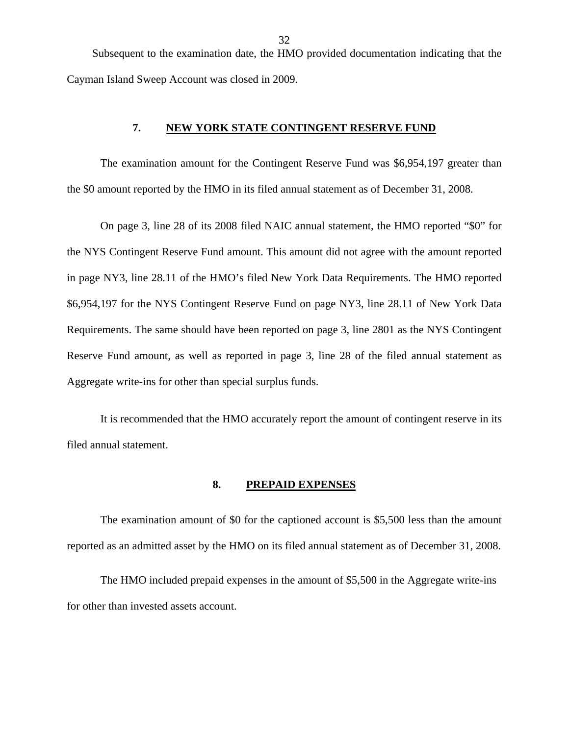32

<span id="page-33-0"></span>Subsequent to the examination date, the HMO provided documentation indicating that the Cayman Island Sweep Account was closed in 2009.

### **7. NEW YORK STATE CONTINGENT RESERVE FUND**

The examination amount for the Contingent Reserve Fund was \$6,954,197 greater than the \$0 amount reported by the HMO in its filed annual statement as of December 31, 2008.

On page 3, line 28 of its 2008 filed NAIC annual statement, the HMO reported "\$0" for the NYS Contingent Reserve Fund amount. This amount did not agree with the amount reported in page NY3, line 28.11 of the HMO's filed New York Data Requirements. The HMO reported \$6,954,197 for the NYS Contingent Reserve Fund on page NY3, line 28.11 of New York Data Requirements. The same should have been reported on page 3, line 2801 as the NYS Contingent Reserve Fund amount, as well as reported in page 3, line 28 of the filed annual statement as Aggregate write-ins for other than special surplus funds.

It is recommended that the HMO accurately report the amount of contingent reserve in its filed annual statement.

#### **8. PREPAID EXPENSES**

The examination amount of \$0 for the captioned account is \$5,500 less than the amount reported as an admitted asset by the HMO on its filed annual statement as of December 31, 2008.

The HMO included prepaid expenses in the amount of \$5,500 in the Aggregate write-ins for other than invested assets account.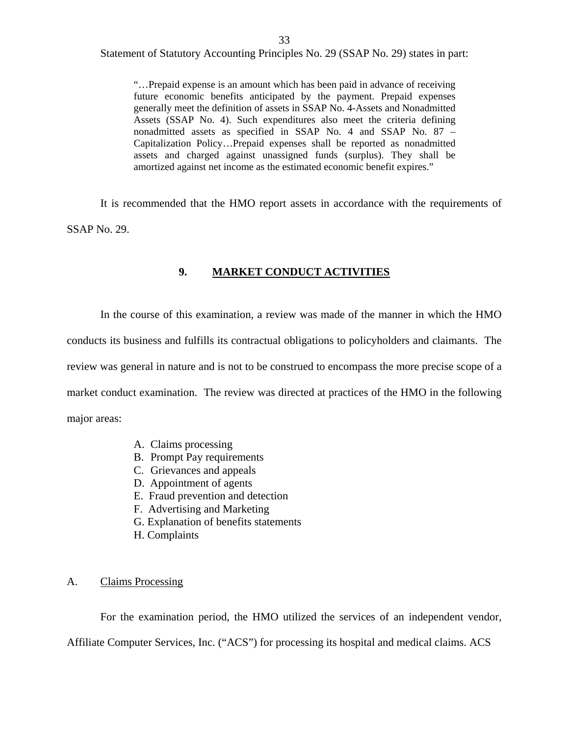33

<span id="page-34-0"></span>Statement of Statutory Accounting Principles No. 29 (SSAP No. 29) states in part:

"…Prepaid expense is an amount which has been paid in advance of receiving future economic benefits anticipated by the payment. Prepaid expenses generally meet the definition of assets in SSAP No. 4-Assets and Nonadmitted Assets (SSAP No. 4). Such expenditures also meet the criteria defining nonadmitted assets as specified in SSAP No. 4 and SSAP No. 87 – Capitalization Policy…Prepaid expenses shall be reported as nonadmitted assets and charged against unassigned funds (surplus). They shall be amortized against net income as the estimated economic benefit expires."

It is recommended that the HMO report assets in accordance with the requirements of SSAP No. 29.

#### **9. MARKET CONDUCT ACTIVITIES**

In the course of this examination, a review was made of the manner in which the HMO conducts its business and fulfills its contractual obligations to policyholders and claimants. The review was general in nature and is not to be construed to encompass the more precise scope of a market conduct examination. The review was directed at practices of the HMO in the following major areas:

- A. Claims processing
- B. Prompt Pay requirements
- C. Grievances and appeals
- D. Appointment of agents
- E. Fraud prevention and detection
- F. Advertising and Marketing
- G. Explanation of benefits statements
- H. Complaints

### A. Claims Processing

For the examination period, the HMO utilized the services of an independent vendor,

Affiliate Computer Services, Inc. ("ACS") for processing its hospital and medical claims. ACS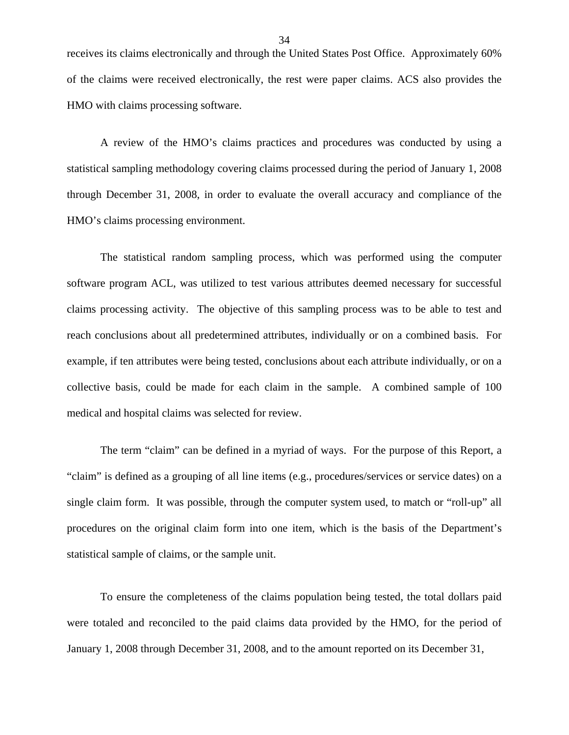receives its claims electronically and through the United States Post Office. Approximately 60% of the claims were received electronically, the rest were paper claims. ACS also provides the HMO with claims processing software.

A review of the HMO's claims practices and procedures was conducted by using a statistical sampling methodology covering claims processed during the period of January 1, 2008 through December 31, 2008, in order to evaluate the overall accuracy and compliance of the HMO's claims processing environment.

The statistical random sampling process, which was performed using the computer software program ACL, was utilized to test various attributes deemed necessary for successful claims processing activity. The objective of this sampling process was to be able to test and reach conclusions about all predetermined attributes, individually or on a combined basis. For example, if ten attributes were being tested, conclusions about each attribute individually, or on a collective basis, could be made for each claim in the sample. A combined sample of 100 medical and hospital claims was selected for review.

The term "claim" can be defined in a myriad of ways. For the purpose of this Report, a "claim" is defined as a grouping of all line items (e.g., procedures/services or service dates) on a single claim form. It was possible, through the computer system used, to match or "roll-up" all procedures on the original claim form into one item, which is the basis of the Department's statistical sample of claims, or the sample unit.

To ensure the completeness of the claims population being tested, the total dollars paid were totaled and reconciled to the paid claims data provided by the HMO, for the period of January 1, 2008 through December 31, 2008, and to the amount reported on its December 31,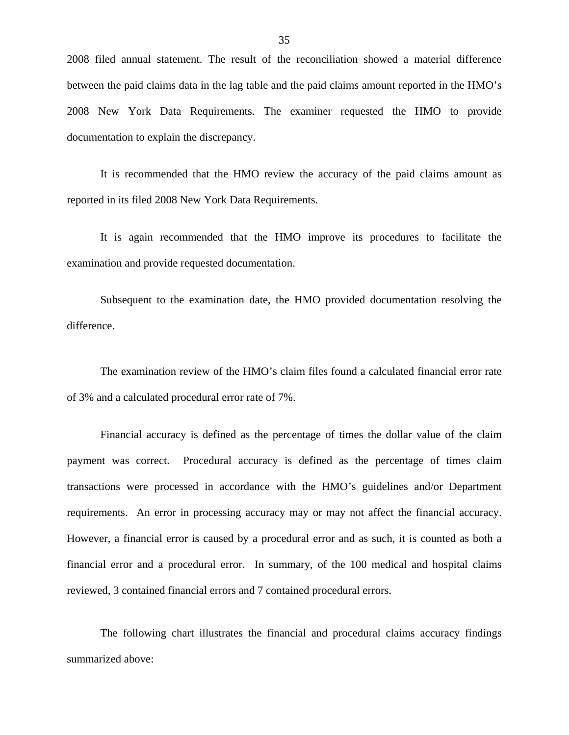2008 filed annual statement. The result of the reconciliation showed a material difference between the paid claims data in the lag table and the paid claims amount reported in the HMO's 2008 New York Data Requirements. The examiner requested the HMO to provide documentation to explain the discrepancy.

It is recommended that the HMO review the accuracy of the paid claims amount as reported in its filed 2008 New York Data Requirements.

It is again recommended that the HMO improve its procedures to facilitate the examination and provide requested documentation.

Subsequent to the examination date, the HMO provided documentation resolving the difference.

The examination review of the HMO's claim files found a calculated financial error rate of 3% and a calculated procedural error rate of 7%.

Financial accuracy is defined as the percentage of times the dollar value of the claim payment was correct. Procedural accuracy is defined as the percentage of times claim transactions were processed in accordance with the HMO's guidelines and/or Department requirements. An error in processing accuracy may or may not affect the financial accuracy. However, a financial error is caused by a procedural error and as such, it is counted as both a financial error and a procedural error. In summary, of the 100 medical and hospital claims reviewed, 3 contained financial errors and 7 contained procedural errors.

The following chart illustrates the financial and procedural claims accuracy findings summarized above: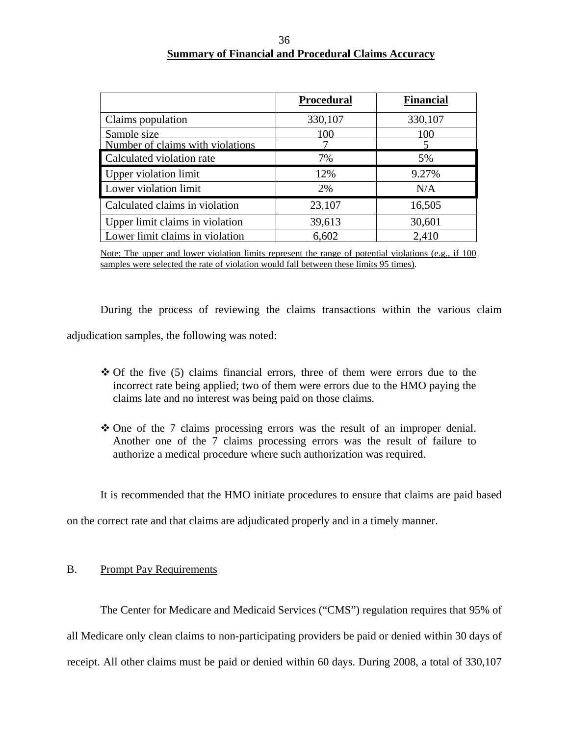#### 36 **Summary of Financial and Procedural Claims Accuracy**

|                                  | <b>Procedural</b> | <b>Financial</b> |
|----------------------------------|-------------------|------------------|
| Claims population                | 330,107           | 330,107          |
| Sample size                      | l OO              | 00               |
| Number of claims with violations |                   |                  |
| Calculated violation rate        | 7%                | 5%               |
| Upper violation limit            | 12%               | 9.27%            |
| Lower violation limit            | 2%                | N/A              |
| Calculated claims in violation   | 23,107            | 16,505           |
| Upper limit claims in violation  | 39,613            | 30,601           |
| Lower limit claims in violation  | 6,602             | 2,410            |

Note: The upper and lower violation limits represent the range of potential violations (e.g., if 100 samples were selected the rate of violation would fall between these limits 95 times).

During the process of reviewing the claims transactions within the various claim adjudication samples, the following was noted:

- Of the five (5) claims financial errors, three of them were errors due to the incorrect rate being applied; two of them were errors due to the HMO paying the claims late and no interest was being paid on those claims.
- One of the 7 claims processing errors was the result of an improper denial. Another one of the 7 claims processing errors was the result of failure to authorize a medical procedure where such authorization was required.

It is recommended that the HMO initiate procedures to ensure that claims are paid based

on the correct rate and that claims are adjudicated properly and in a timely manner.

#### B. Prompt Pay Requirements

The Center for Medicare and Medicaid Services ("CMS") regulation requires that 95% of all Medicare only clean claims to non-participating providers be paid or denied within 30 days of receipt. All other claims must be paid or denied within 60 days. During 2008, a total of 330,107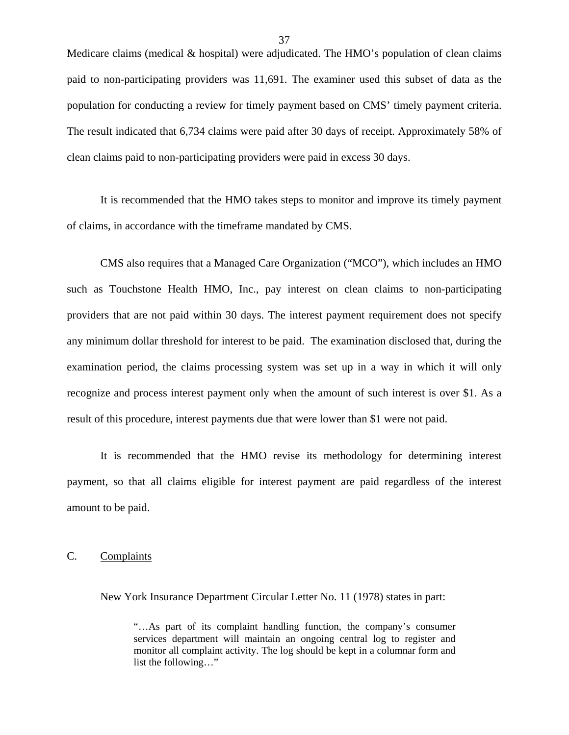<span id="page-38-0"></span>Medicare claims (medical & hospital) were adjudicated. The HMO's population of clean claims paid to non-participating providers was 11,691. The examiner used this subset of data as the population for conducting a review for timely payment based on CMS' timely payment criteria. The result indicated that 6,734 claims were paid after 30 days of receipt. Approximately 58% of clean claims paid to non-participating providers were paid in excess 30 days.

It is recommended that the HMO takes steps to monitor and improve its timely payment of claims, in accordance with the timeframe mandated by CMS.

CMS also requires that a Managed Care Organization ("MCO"), which includes an HMO such as Touchstone Health HMO, Inc., pay interest on clean claims to non-participating providers that are not paid within 30 days. The interest payment requirement does not specify any minimum dollar threshold for interest to be paid. The examination disclosed that, during the examination period, the claims processing system was set up in a way in which it will only recognize and process interest payment only when the amount of such interest is over \$1. As a result of this procedure, interest payments due that were lower than \$1 were not paid.

It is recommended that the HMO revise its methodology for determining interest payment, so that all claims eligible for interest payment are paid regardless of the interest amount to be paid.

C. Complaints

New York Insurance Department Circular Letter No. 11 (1978) states in part:

<sup>&</sup>quot;…As part of its complaint handling function, the company's consumer services department will maintain an ongoing central log to register and monitor all complaint activity. The log should be kept in a columnar form and list the following…"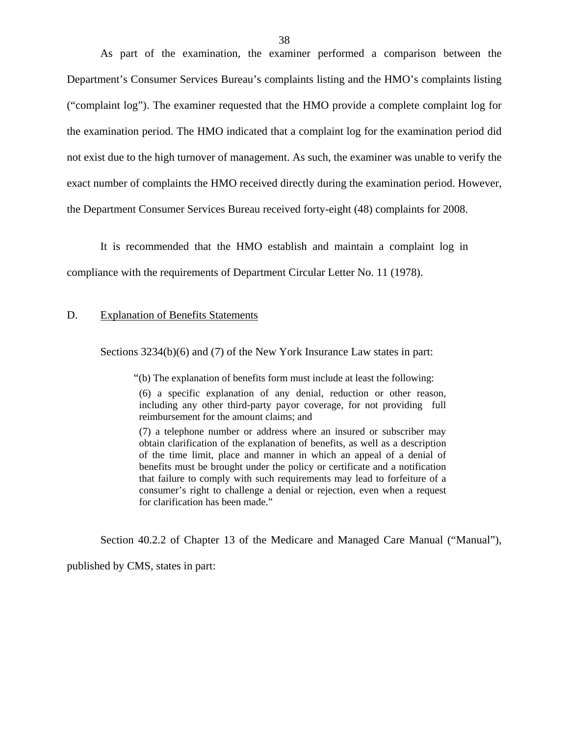<span id="page-39-0"></span>As part of the examination, the examiner performed a comparison between the Department's Consumer Services Bureau's complaints listing and the HMO's complaints listing ("complaint log"). The examiner requested that the HMO provide a complete complaint log for the examination period. The HMO indicated that a complaint log for the examination period did not exist due to the high turnover of management. As such, the examiner was unable to verify the exact number of complaints the HMO received directly during the examination period. However, the Department Consumer Services Bureau received forty-eight (48) complaints for 2008.

It is recommended that the HMO establish and maintain a complaint log in compliance with the requirements of Department Circular Letter No. 11 (1978).

#### D. Explanation of Benefits Statements

Sections  $3234(b)(6)$  and (7) of the New York Insurance Law states in part:

"(b) The explanation of benefits form must include at least the following:

(6) a specific explanation of any denial, reduction or other reason, including any other third-party payor coverage, for not providing full reimbursement for the amount claims; and

(7) a telephone number or address where an insured or subscriber may obtain clarification of the explanation of benefits, as well as a description of the time limit, place and manner in which an appeal of a denial of benefits must be brought under the policy or certificate and a notification that failure to comply with such requirements may lead to forfeiture of a consumer's right to challenge a denial or rejection, even when a request for clarification has been made."

Section 40.2.2 of Chapter 13 of the Medicare and Managed Care Manual ("Manual"),

published by CMS, states in part: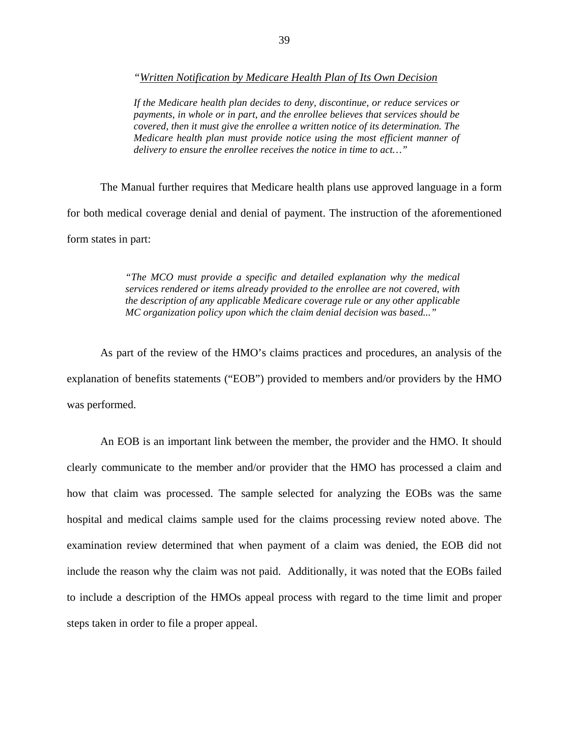*"Written Notification by Medicare Health Plan of Its Own Decision* 

*If the Medicare health plan decides to deny, discontinue, or reduce services or payments, in whole or in part, and the enrollee believes that services should be covered, then it must give the enrollee a written notice of its determination. The Medicare health plan must provide notice using the most efficient manner of delivery to ensure the enrollee receives the notice in time to act…"* 

The Manual further requires that Medicare health plans use approved language in a form for both medical coverage denial and denial of payment. The instruction of the aforementioned form states in part:

> *"The MCO must provide a specific and detailed explanation why the medical services rendered or items already provided to the enrollee are not covered, with the description of any applicable Medicare coverage rule or any other applicable MC organization policy upon which the claim denial decision was based..."*

As part of the review of the HMO's claims practices and procedures, an analysis of the explanation of benefits statements ("EOB") provided to members and/or providers by the HMO was performed.

An EOB is an important link between the member, the provider and the HMO. It should clearly communicate to the member and/or provider that the HMO has processed a claim and how that claim was processed. The sample selected for analyzing the EOBs was the same hospital and medical claims sample used for the claims processing review noted above. The examination review determined that when payment of a claim was denied, the EOB did not include the reason why the claim was not paid. Additionally, it was noted that the EOBs failed to include a description of the HMOs appeal process with regard to the time limit and proper steps taken in order to file a proper appeal.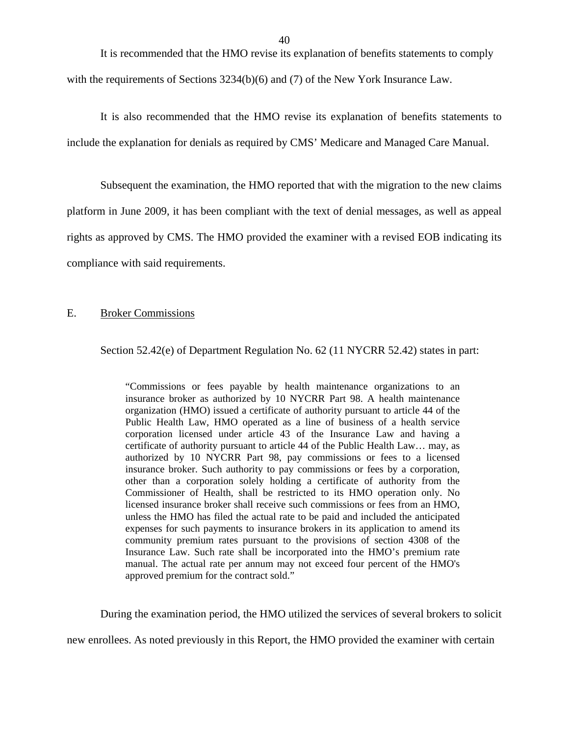<span id="page-41-0"></span>It is recommended that the HMO revise its explanation of benefits statements to comply with the requirements of Sections 3234(b)(6) and (7) of the New York Insurance Law.

It is also recommended that the HMO revise its explanation of benefits statements to include the explanation for denials as required by CMS' Medicare and Managed Care Manual.

Subsequent the examination, the HMO reported that with the migration to the new claims platform in June 2009, it has been compliant with the text of denial messages, as well as appeal rights as approved by CMS. The HMO provided the examiner with a revised EOB indicating its compliance with said requirements.

#### E. Broker Commissions

Section 52.42(e) of Department Regulation No. 62 (11 NYCRR 52.42) states in part:

 community premium rates pursuant to the provisions of section 4308 of the "Commissions or fees payable by health maintenance organizations to an insurance broker as authorized by 10 NYCRR Part 98. A health maintenance organization (HMO) issued a certificate of authority pursuant to article 44 of the Public Health Law, HMO operated as a line of business of a health service corporation licensed under article 43 of the Insurance Law and having a certificate of authority pursuant to article 44 of the Public Health Law… may, as authorized by 10 NYCRR Part 98, pay commissions or fees to a licensed insurance broker. Such authority to pay commissions or fees by a corporation, other than a corporation solely holding a certificate of authority from the Commissioner of Health, shall be restricted to its HMO operation only. No licensed insurance broker shall receive such commissions or fees from an HMO, unless the HMO has filed the actual rate to be paid and included the anticipated expenses for such payments to insurance brokers in its application to amend its Insurance Law. Such rate shall be incorporated into the HMO's premium rate manual. The actual rate per annum may not exceed four percent of the HMO's approved premium for the contract sold."

During the examination period, the HMO utilized the services of several brokers to solicit

new enrollees. As noted previously in this Report, the HMO provided the examiner with certain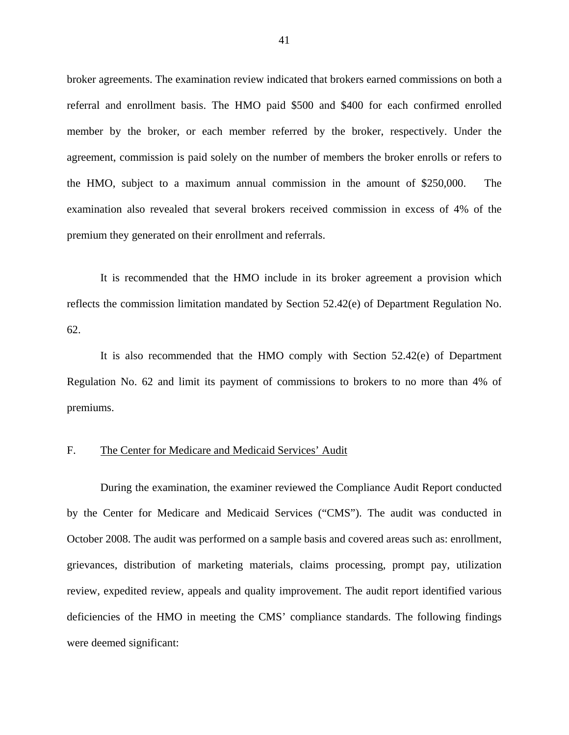<span id="page-42-0"></span>broker agreements. The examination review indicated that brokers earned commissions on both a referral and enrollment basis. The HMO paid \$500 and \$400 for each confirmed enrolled member by the broker, or each member referred by the broker, respectively. Under the agreement, commission is paid solely on the number of members the broker enrolls or refers to the HMO, subject to a maximum annual commission in the amount of \$250,000. The examination also revealed that several brokers received commission in excess of 4% of the premium they generated on their enrollment and referrals.

It is recommended that the HMO include in its broker agreement a provision which reflects the commission limitation mandated by Section 52.42(e) of Department Regulation No. 62.

It is also recommended that the HMO comply with Section 52.42(e) of Department Regulation No. 62 and limit its payment of commissions to brokers to no more than 4% of premiums.

#### F. The Center for Medicare and Medicaid Services' Audit

During the examination, the examiner reviewed the Compliance Audit Report conducted by the Center for Medicare and Medicaid Services ("CMS"). The audit was conducted in October 2008. The audit was performed on a sample basis and covered areas such as: enrollment, grievances, distribution of marketing materials, claims processing, prompt pay, utilization review, expedited review, appeals and quality improvement. The audit report identified various deficiencies of the HMO in meeting the CMS' compliance standards. The following findings were deemed significant: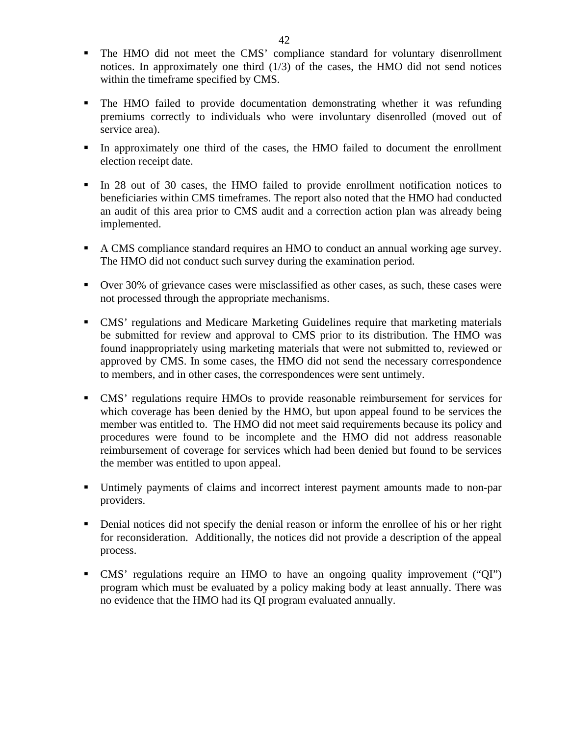- The HMO did not meet the CMS' compliance standard for voluntary disenrollment notices. In approximately one third  $(1/3)$  of the cases, the HMO did not send notices within the timeframe specified by CMS.
- The HMO failed to provide documentation demonstrating whether it was refunding premiums correctly to individuals who were involuntary disenrolled (moved out of service area).
- In approximately one third of the cases, the HMO failed to document the enrollment election receipt date.
- In 28 out of 30 cases, the HMO failed to provide enrollment notification notices to beneficiaries within CMS timeframes. The report also noted that the HMO had conducted an audit of this area prior to CMS audit and a correction action plan was already being implemented.
- A CMS compliance standard requires an HMO to conduct an annual working age survey. The HMO did not conduct such survey during the examination period.
- Over 30% of grievance cases were misclassified as other cases, as such, these cases were not processed through the appropriate mechanisms.
- CMS' regulations and Medicare Marketing Guidelines require that marketing materials be submitted for review and approval to CMS prior to its distribution. The HMO was found inappropriately using marketing materials that were not submitted to, reviewed or approved by CMS. In some cases, the HMO did not send the necessary correspondence to members, and in other cases, the correspondences were sent untimely.
- CMS' regulations require HMOs to provide reasonable reimbursement for services for which coverage has been denied by the HMO, but upon appeal found to be services the member was entitled to. The HMO did not meet said requirements because its policy and procedures were found to be incomplete and the HMO did not address reasonable reimbursement of coverage for services which had been denied but found to be services the member was entitled to upon appeal.
- Untimely payments of claims and incorrect interest payment amounts made to non-par providers.
- Denial notices did not specify the denial reason or inform the enrollee of his or her right for reconsideration. Additionally, the notices did not provide a description of the appeal process.
- CMS' regulations require an HMO to have an ongoing quality improvement ("QI") program which must be evaluated by a policy making body at least annually. There was no evidence that the HMO had its QI program evaluated annually.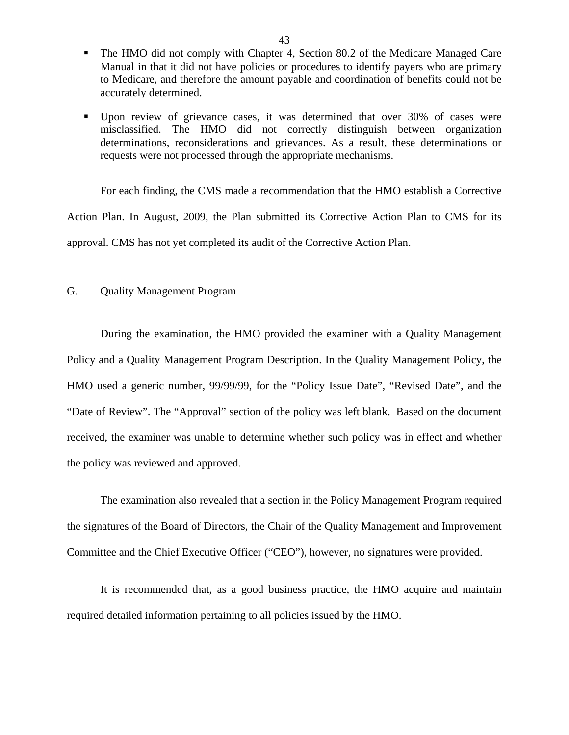- <span id="page-44-0"></span>• The HMO did not comply with Chapter 4, Section 80.2 of the Medicare Managed Care Manual in that it did not have policies or procedures to identify payers who are primary to Medicare, and therefore the amount payable and coordination of benefits could not be accurately determined.
- Upon review of grievance cases, it was determined that over 30% of cases were misclassified. The HMO did not correctly distinguish between organization determinations, reconsiderations and grievances. As a result, these determinations or requests were not processed through the appropriate mechanisms.

For each finding, the CMS made a recommendation that the HMO establish a Corrective Action Plan. In August, 2009, the Plan submitted its Corrective Action Plan to CMS for its approval. CMS has not yet completed its audit of the Corrective Action Plan.

#### G. Quality Management Program

During the examination, the HMO provided the examiner with a Quality Management Policy and a Quality Management Program Description. In the Quality Management Policy, the HMO used a generic number, 99/99/99, for the "Policy Issue Date", "Revised Date", and the "Date of Review". The "Approval" section of the policy was left blank. Based on the document received, the examiner was unable to determine whether such policy was in effect and whether the policy was reviewed and approved.

The examination also revealed that a section in the Policy Management Program required the signatures of the Board of Directors, the Chair of the Quality Management and Improvement Committee and the Chief Executive Officer ("CEO"), however, no signatures were provided.

It is recommended that, as a good business practice, the HMO acquire and maintain required detailed information pertaining to all policies issued by the HMO.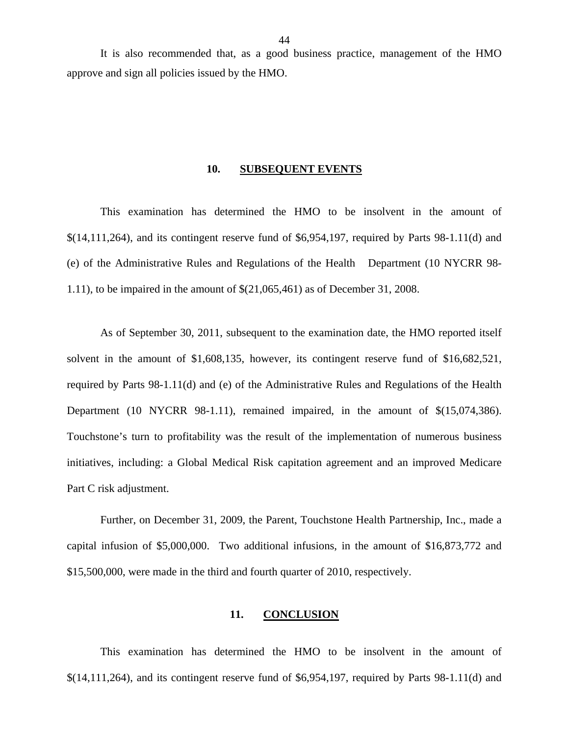<span id="page-45-0"></span>It is also recommended that, as a good business practice, management of the HMO approve and sign all policies issued by the HMO.

#### **10. SUBSEQUENT EVENTS**

This examination has determined the HMO to be insolvent in the amount of \$(14,111,264), and its contingent reserve fund of \$6,954,197, required by Parts 98-1.11(d) and (e) of the Administrative Rules and Regulations of the Health Department (10 NYCRR 98- 1.11), to be impaired in the amount of \$(21,065,461) as of December 31, 2008.

As of September 30, 2011, subsequent to the examination date, the HMO reported itself solvent in the amount of \$1,608,135, however, its contingent reserve fund of \$16,682,521, required by Parts 98-1.11(d) and (e) of the Administrative Rules and Regulations of the Health Department (10 NYCRR 98-1.11), remained impaired, in the amount of  $\$(15,074,386)$ . Touchstone's turn to profitability was the result of the implementation of numerous business initiatives, including: a Global Medical Risk capitation agreement and an improved Medicare Part C risk adjustment.

Further, on December 31, 2009, the Parent, Touchstone Health Partnership, Inc., made a capital infusion of \$5,000,000. Two additional infusions, in the amount of \$16,873,772 and \$15,500,000, were made in the third and fourth quarter of 2010, respectively.

#### **11. CONCLUSION**

This examination has determined the HMO to be insolvent in the amount of \$(14,111,264), and its contingent reserve fund of \$6,954,197, required by Parts 98-1.11(d) and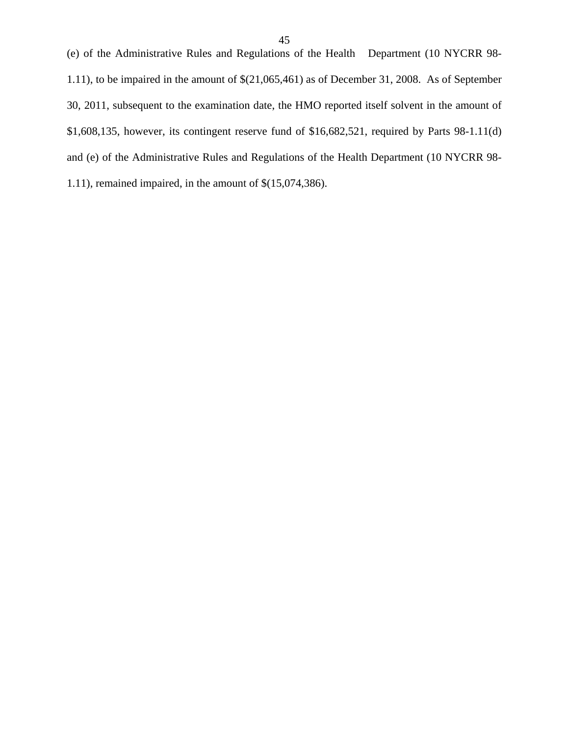1.11), to be impaired in the amount of \$(21,065,461) as of December 31, 2008. As of September 30, 2011, subsequent to the examination date, the HMO reported itself solvent in the amount of \$1,608,135, however, its contingent reserve fund of \$16,682,521, required by Parts 98-1.11(d) and (e) of the Administrative Rules and Regulations of the Health Department (10 NYCRR 98- 1.11), remained impaired, in the amount of \$(15,074,386).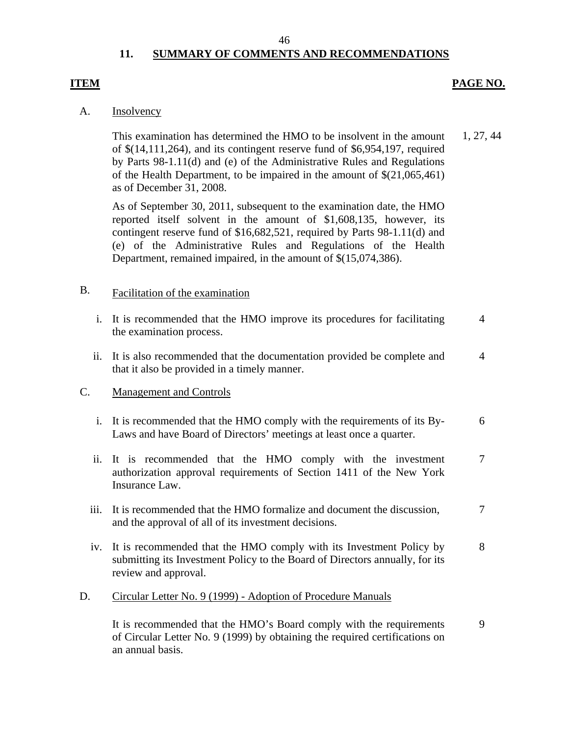#### 46

### **11. SUMMARY OF COMMENTS AND RECOMMENDATIONS**

#### <span id="page-47-0"></span>**ITEM**

#### **PAGE NO.**

7

#### A. Insolvency

This examination has determined the HMO to be insolvent in the amount of \$(14,111,264), and its contingent reserve fund of \$6,954,197, required by Parts 98-1.11(d) and (e) of the Administrative Rules and Regulations of the Health Department, to be impaired in the amount of \$(21,065,461) as of December 31, 2008. 1, 27, 44

As of September 30, 2011, subsequent to the examination date, the HMO reported itself solvent in the amount of \$1,608,135, however, its contingent reserve fund of \$16,682,521, required by Parts 98-1.11(d) and (e) of the Administrative Rules and Regulations of the Health Department, remained impaired, in the amount of \$(15,074,386).

## B. Facilitation of the examination

- i. It is recommended that the HMO improve its procedures for facilitating the examination process. 4
- ii. It is also recommended that the documentation provided be complete and that it also be provided in a timely manner. 4

#### C. Management and Controls

- i. It is recommended that the HMO comply with the requirements of its By-Laws and have Board of Directors' meetings at least once a quarter. 6
- ii. It is recommended that the HMO comply with the investment authorization approval requirements of Section 1411 of the New York Insurance Law. 7
- iii. It is recommended that the HMO formalize and document the discussion, and the approval of all of its investment decisions.
- iv. It is recommended that the HMO comply with its Investment Policy by submitting its Investment Policy to the Board of Directors annually, for its review and approval. 8
- D. Circular Letter No. 9 (1999) Adoption of Procedure Manuals

It is recommended that the HMO's Board comply with the requirements of Circular Letter No. 9 (1999) by obtaining the required certifications on an annual basis. 9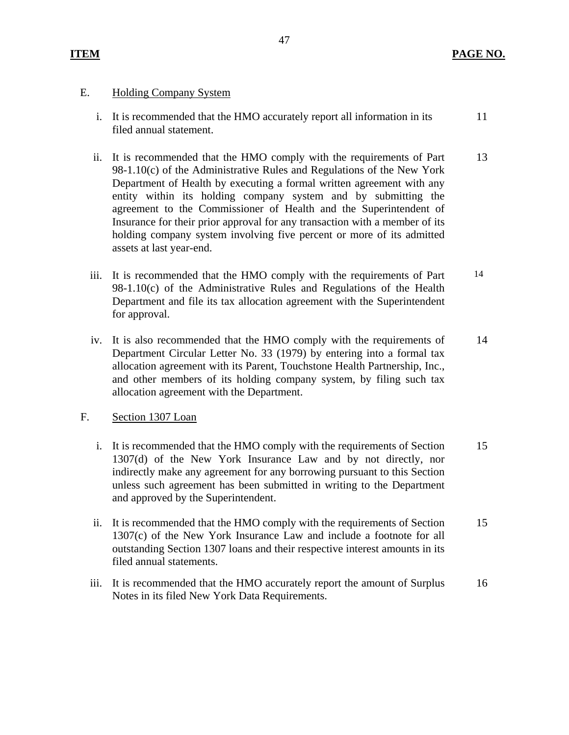#### **Holding Company System**

- E. Holding Company System<br>i. It is recommended that the HMO accurately report all information in its filed annual statement. 11
	- ii. It is recommended that the HMO comply with the requirements of Part 98-1.10(c) of the Administrative Rules and Regulations of the New York Department of Health by executing a formal written agreement with any entity within its holding company system and by submitting the agreement to the Commissioner of Health and the Superintendent of Insurance for their prior approval for any transaction with a member of its holding company system involving five percent or more of its admitted assets at last year-end. 13
	- iii. It is recommended that the HMO comply with the requirements of Part 98-1.10(c) of the Administrative Rules and Regulations of the Health Department and file its tax allocation agreement with the Superintendent for approval. 14
	- iv. It is also recommended that the HMO comply with the requirements of Department Circular Letter No. 33 (1979) by entering into a formal tax allocation agreement with its Parent, Touchstone Health Partnership, Inc., and other members of its holding company system, by filing such tax allocation agreement with the Department. 14

#### Section 1307 Loan

- F. Section 1307 Loan<br>i. It is recommended that the HMO comply with the requirements of Section 1307(d) of the New York Insurance Law and by not directly, nor indirectly make any agreement for any borrowing pursuant to this Section unless such agreement has been submitted in writing to the Department and approved by the Superintendent. 15
	- ii. It is recommended that the HMO comply with the requirements of Section 1307(c) of the New York Insurance Law and include a footnote for all outstanding Section 1307 loans and their respective interest amounts in its filed annual statements. 15
	- iii. It is recommended that the HMO accurately report the amount of Surplus Notes in its filed New York Data Requirements. 16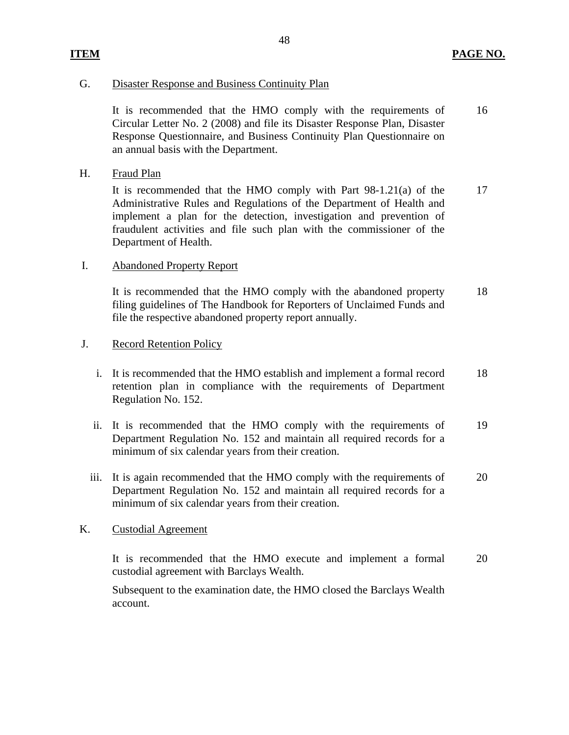#### G. Disaster Response and Business Continuity Plan

It is recommended that the HMO comply with the requirements of Circular Letter No. 2 (2008) and file its Disaster Response Plan, Disaster Response Questionnaire, and Business Continuity Plan Questionnaire on an annual basis with the Department. 16

Fraud Plan

H. Fraud Plan<br>It is recommended that the HMO comply with Part 98-1.21(a) of the Administrative Rules and Regulations of the Department of Health and implement a plan for the detection, investigation and prevention of fraudulent activities and file such plan with the commissioner of the Department of Health. 17

#### I. Abandoned Property Report

It is recommended that the HMO comply with the abandoned property filing guidelines of The Handbook for Reporters of Unclaimed Funds and file the respective abandoned property report annually. 18

#### **Record Retention Policy**

- J. Record Retention Policy<br>i. It is recommended that the HMO establish and implement a formal record retention plan in compliance with the requirements of Department Regulation No. 152. 18
	- ii. It is recommended that the HMO comply with the requirements of Department Regulation No. 152 and maintain all required records for a minimum of six calendar years from their creation. 19
	- iii. It is again recommended that the HMO comply with the requirements of Department Regulation No. 152 and maintain all required records for a minimum of six calendar years from their creation. 20

#### **Custodial Agreement**

K. Custodial Agreement<br>It is recommended that the HMO execute and implement a formal custodial agreement with Barclays Wealth. 20

Subsequent to the examination date, the HMO closed the Barclays Wealth account.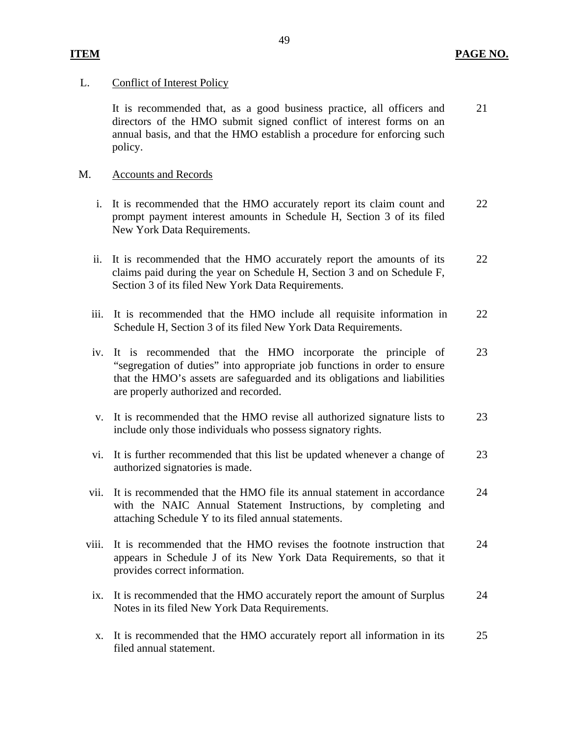### L. Conflict of Interest Policy

It is recommended that, as a good business practice, all officers and directors of the HMO submit signed conflict of interest forms on an annual basis, and that the HMO establish a procedure for enforcing such policy. 21

### **Accounts and Records**

- M. Accounts and Records<br>i. It is recommended that the HMO accurately report its claim count and prompt payment interest amounts in Schedule H, Section 3 of its filed New York Data Requirements. 22
	- ii. It is recommended that the HMO accurately report the amounts of its claims paid during the year on Schedule H, Section 3 and on Schedule F, Section 3 of its filed New York Data Requirements. 22
	- iii. It is recommended that the HMO include all requisite information in Schedule H, Section 3 of its filed New York Data Requirements. 22
	- iv. It is recommended that the HMO incorporate the principle of "segregation of duties" into appropriate job functions in order to ensure that the HMO's assets are safeguarded and its obligations and liabilities are properly authorized and recorded. 23
	- v. It is recommended that the HMO revise all authorized signature lists to include only those individuals who possess signatory rights. 23
	- vi. It is further recommended that this list be updated whenever a change of authorized signatories is made. 23
	- vii. It is recommended that the HMO file its annual statement in accordance with the NAIC Annual Statement Instructions, by completing and attaching Schedule Y to its filed annual statements. 24
	- viii. It is recommended that the HMO revises the footnote instruction that appears in Schedule J of its New York Data Requirements, so that it provides correct information. 24
		- ix. It is recommended that the HMO accurately report the amount of Surplus Notes in its filed New York Data Requirements. 24
		- x. It is recommended that the HMO accurately report all information in its filed annual statement. 25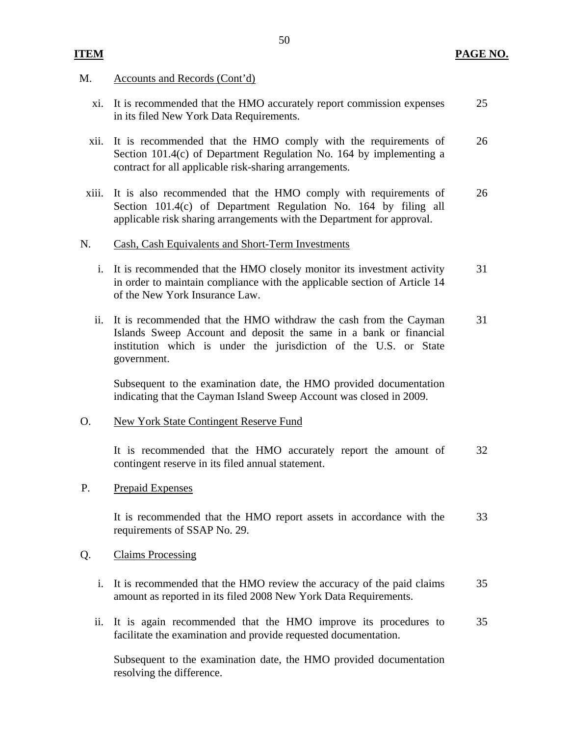#### **PAGE NO.**

#### M. Accounts and Records (Cont'd)

**ITEM** 

- xi. It is recommended that the HMO accurately report commission expenses in its filed New York Data Requirements. 25
- xii. It is recommended that the HMO comply with the requirements of Section 101.4(c) of Department Regulation No. 164 by implementing a contract for all applicable risk-sharing arrangements. 26
- xiii. It is also recommended that the HMO comply with requirements of Section 101.4(c) of Department Regulation No. 164 by filing all applicable risk sharing arrangements with the Department for approval. 26

#### N. Cash, Cash Equivalents and Short-Term Investments

- i. It is recommended that the HMO closely monitor its investment activity in order to maintain compliance with the applicable section of Article 14 of the New York Insurance Law. 31
- ii. It is recommended that the HMO withdraw the cash from the Cayman Islands Sweep Account and deposit the same in a bank or financial institution which is under the jurisdiction of the U.S. or State government. 31

Subsequent to the examination date, the HMO provided documentation indicating that the Cayman Island Sweep Account was closed in 2009.

#### New York State Contingent Reserve Fund

O. New York State Contingent Reserve Fund<br>It is recommended that the HMO accurately report the amount of contingent reserve in its filed annual statement. 32

#### P. Prepaid Expenses

It is recommended that the HMO report assets in accordance with the requirements of SSAP No. 29. 33

#### **Claims Processing**

- Q. Claims Processing<br>i. It is recommended that the HMO review the accuracy of the paid claims amount as reported in its filed 2008 New York Data Requirements. 35
	- ii. It is again recommended that the HMO improve its procedures to facilitate the examination and provide requested documentation. 35

Subsequent to the examination date, the HMO provided documentation resolving the difference.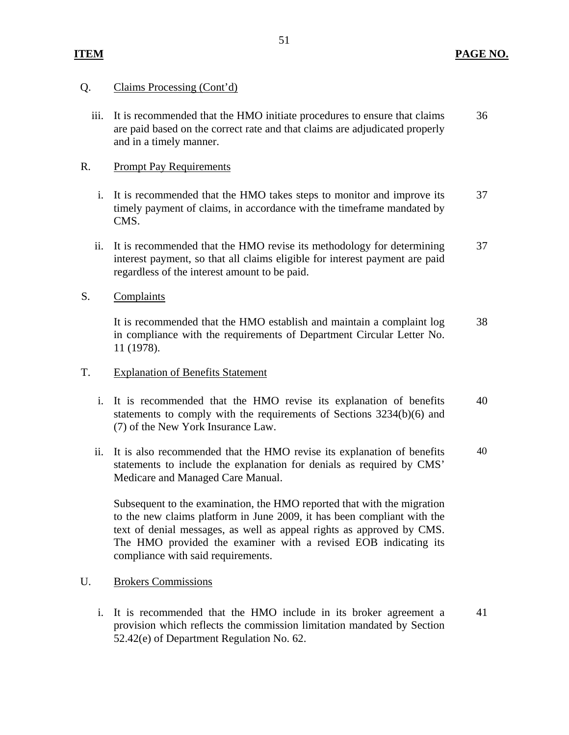### **ITEM PAGE NO.**

#### Claims Processing (Cont'd)

Q. Claims Processing (Cont'd)<br>iii. It is recommended that the HMO initiate procedures to ensure that claims are paid based on the correct rate and that claims are adjudicated properly and in a timely manner. 36

#### **Prompt Pay Requirements**

- R. Prompt Pay Requirements<br>i. It is recommended that the HMO takes steps to monitor and improve its timely payment of claims, in accordance with the timeframe mandated by CMS. 37
	- ii. It is recommended that the HMO revise its methodology for determining interest payment, so that all claims eligible for interest payment are paid regardless of the interest amount to be paid. 37

#### S. Complaints

It is recommended that the HMO establish and maintain a complaint log in compliance with the requirements of Department Circular Letter No. 11 (1978). 38

#### **Explanation of Benefits Statement**

- T. Explanation of Benefits Statement<br>i. It is recommended that the HMO revise its explanation of benefits statements to comply with the requirements of Sections 3234(b)(6) and (7) of the New York Insurance Law. 40
	- ii. It is also recommended that the HMO revise its explanation of benefits statements to include the explanation for denials as required by CMS' Medicare and Managed Care Manual. 40

Subsequent to the examination, the HMO reported that with the migration to the new claims platform in June 2009, it has been compliant with the text of denial messages, as well as appeal rights as approved by CMS. The HMO provided the examiner with a revised EOB indicating its compliance with said requirements.

#### **Brokers Commissions**

U. Brokers Commissions<br>i. It is recommended that the HMO include in its broker agreement a provision which reflects the commission limitation mandated by Section 52.42(e) of Department Regulation No. 62. 41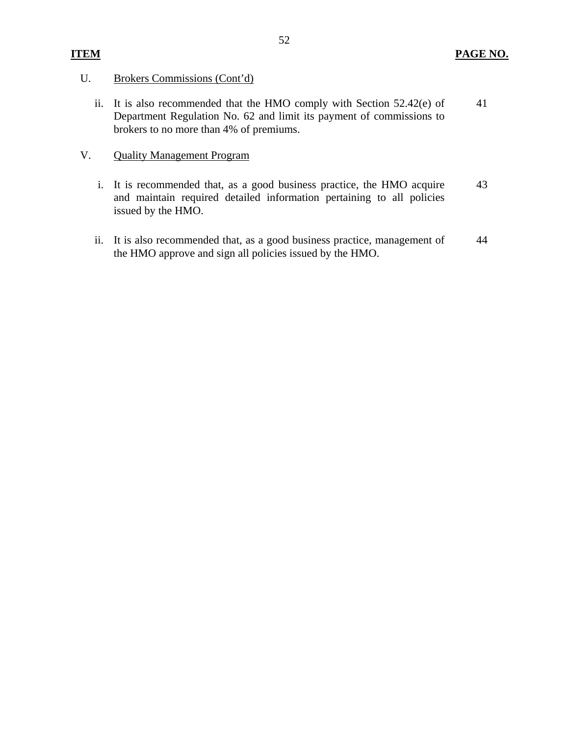## U. Brokers Commissions (Cont'd)

ii. It is also recommended that the HMO comply with Section 52.42(e) of Department Regulation No. 62 and limit its payment of commissions to brokers to no more than 4% of premiums. 41

#### **Quality Management Program**

- V. Quality Management Program<br>
i. It is recommended that, as a good business practice, the HMO acquire and maintain required detailed information pertaining to all policies issued by the HMO. 43
	- ii. It is also recommended that, as a good business practice, management of the HMO approve and sign all policies issued by the HMO. 44